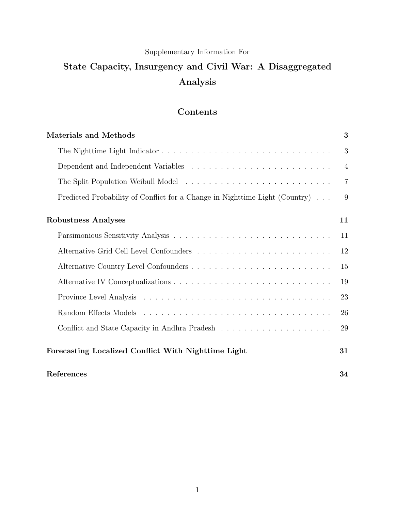### Supplementary Information For

# State Capacity, Insurgency and Civil War: A Disaggregated Analysis

## Contents

| <b>Materials and Methods</b>                                                | 3              |
|-----------------------------------------------------------------------------|----------------|
|                                                                             | 3              |
|                                                                             | $\overline{4}$ |
|                                                                             | $\overline{7}$ |
| Predicted Probability of Conflict for a Change in Nighttime Light (Country) | 9              |
| Robustness Analyses                                                         | 11             |
|                                                                             | 11             |
|                                                                             | 12             |
|                                                                             | 15             |
|                                                                             | 19             |
|                                                                             | 23             |
|                                                                             | 26             |
|                                                                             | 29             |
| Forecasting Localized Conflict With Nighttime Light                         | 31             |
| References                                                                  | 34             |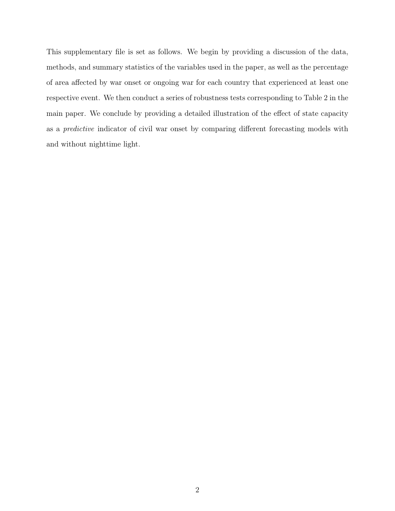This supplementary file is set as follows. We begin by providing a discussion of the data, methods, and summary statistics of the variables used in the paper, as well as the percentage of area affected by war onset or ongoing war for each country that experienced at least one respective event. We then conduct a series of robustness tests corresponding to Table 2 in the main paper. We conclude by providing a detailed illustration of the effect of state capacity as a predictive indicator of civil war onset by comparing different forecasting models with and without nighttime light.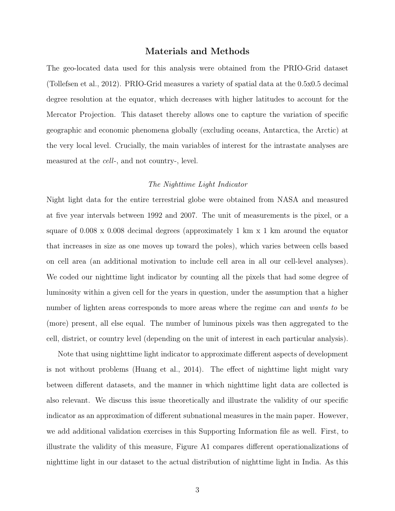#### Materials and Methods

The geo-located data used for this analysis were obtained from the PRIO-Grid dataset (Tollefsen et al., 2012). PRIO-Grid measures a variety of spatial data at the 0.5x0.5 decimal degree resolution at the equator, which decreases with higher latitudes to account for the Mercator Projection. This dataset thereby allows one to capture the variation of specific geographic and economic phenomena globally (excluding oceans, Antarctica, the Arctic) at the very local level. Crucially, the main variables of interest for the intrastate analyses are measured at the cell-, and not country-, level.

#### The Nighttime Light Indicator

Night light data for the entire terrestrial globe were obtained from NASA and measured at five year intervals between 1992 and 2007. The unit of measurements is the pixel, or a square of 0.008 x 0.008 decimal degrees (approximately 1 km x 1 km around the equator that increases in size as one moves up toward the poles), which varies between cells based on cell area (an additional motivation to include cell area in all our cell-level analyses). We coded our nighttime light indicator by counting all the pixels that had some degree of luminosity within a given cell for the years in question, under the assumption that a higher number of lighten areas corresponds to more areas where the regime can and wants to be (more) present, all else equal. The number of luminous pixels was then aggregated to the cell, district, or country level (depending on the unit of interest in each particular analysis).

Note that using nighttime light indicator to approximate different aspects of development is not without problems (Huang et al.,  $2014$ ). The effect of nighttime light might vary between different datasets, and the manner in which nighttime light data are collected is also relevant. We discuss this issue theoretically and illustrate the validity of our specific indicator as an approximation of different subnational measures in the main paper. However, we add additional validation exercises in this Supporting Information file as well. First, to illustrate the validity of this measure, Figure A1 compares different operationalizations of nighttime light in our dataset to the actual distribution of nighttime light in India. As this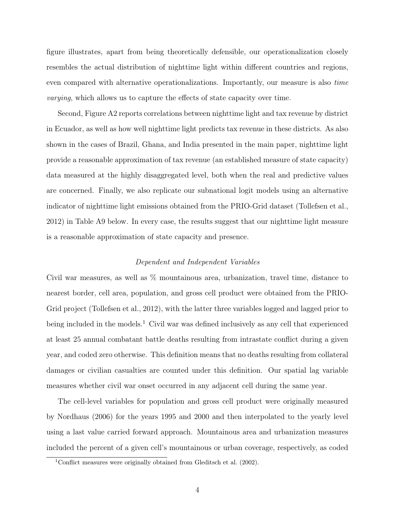figure illustrates, apart from being theoretically defensible, our operationalization closely resembles the actual distribution of nighttime light within different countries and regions, even compared with alternative operationalizations. Importantly, our measure is also *time* varying, which allows us to capture the effects of state capacity over time.

Second, Figure A2 reports correlations between nighttime light and tax revenue by district in Ecuador, as well as how well nighttime light predicts tax revenue in these districts. As also shown in the cases of Brazil, Ghana, and India presented in the main paper, nighttime light provide a reasonable approximation of tax revenue (an established measure of state capacity) data measured at the highly disaggregated level, both when the real and predictive values are concerned. Finally, we also replicate our subnational logit models using an alternative indicator of nighttime light emissions obtained from the PRIO-Grid dataset (Tollefsen et al., 2012) in Table A9 below. In every case, the results suggest that our nighttime light measure is a reasonable approximation of state capacity and presence.

#### Dependent and Independent Variables

Civil war measures, as well as % mountainous area, urbanization, travel time, distance to nearest border, cell area, population, and gross cell product were obtained from the PRIO-Grid project (Tollefsen et al., 2012), with the latter three variables logged and lagged prior to being included in the models.<sup>1</sup> Civil war was defined inclusively as any cell that experienced at least 25 annual combatant battle deaths resulting from intrastate conflict during a given year, and coded zero otherwise. This definition means that no deaths resulting from collateral damages or civilian casualties are counted under this definition. Our spatial lag variable measures whether civil war onset occurred in any adjacent cell during the same year.

The cell-level variables for population and gross cell product were originally measured by Nordhaus (2006) for the years 1995 and 2000 and then interpolated to the yearly level using a last value carried forward approach. Mountainous area and urbanization measures included the percent of a given cell's mountainous or urban coverage, respectively, as coded

<sup>1</sup>Conflict measures were originally obtained from Gleditsch et al. (2002).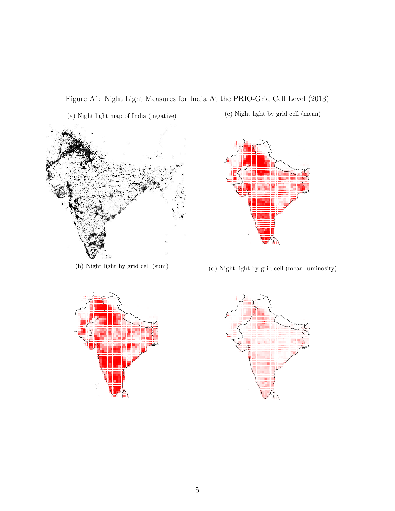

(c) Night light by grid cell (mean)

Figure A1: Night Light Measures for India At the PRIO-Grid Cell Level (2013)

(b) Night light by grid cell (sum)



(d) Night light by grid cell (mean luminosity)



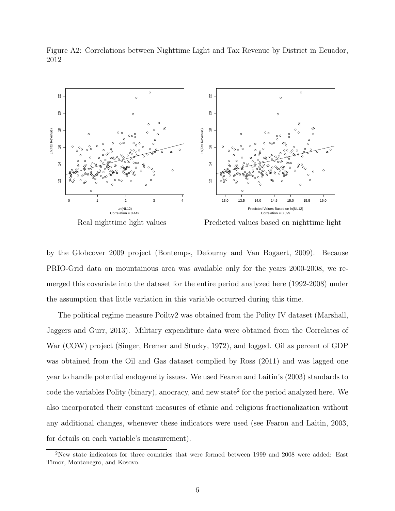

Figure A2: Correlations between Nighttime Light and Tax Revenue by District in Ecuador, 2012

by the Globcover 2009 project (Bontemps, Defourny and Van Bogaert, 2009). Because PRIO-Grid data on mountainous area was available only for the years 2000-2008, we remerged this covariate into the dataset for the entire period analyzed here (1992-2008) under the assumption that little variation in this variable occurred during this time.

The political regime measure Poilty2 was obtained from the Polity IV dataset (Marshall, Jaggers and Gurr, 2013). Military expenditure data were obtained from the Correlates of War (COW) project (Singer, Bremer and Stucky, 1972), and logged. Oil as percent of GDP was obtained from the Oil and Gas dataset complied by Ross (2011) and was lagged one year to handle potential endogeneity issues. We used Fearon and Laitin's (2003) standards to code the variables Polity (binary), anocracy, and new state<sup>2</sup> for the period analyzed here. We also incorporated their constant measures of ethnic and religious fractionalization without any additional changes, whenever these indicators were used (see Fearon and Laitin, 2003, for details on each variable's measurement).

<sup>&</sup>lt;sup>2</sup>New state indicators for three countries that were formed between 1999 and 2008 were added: East Timor, Montanegro, and Kosovo.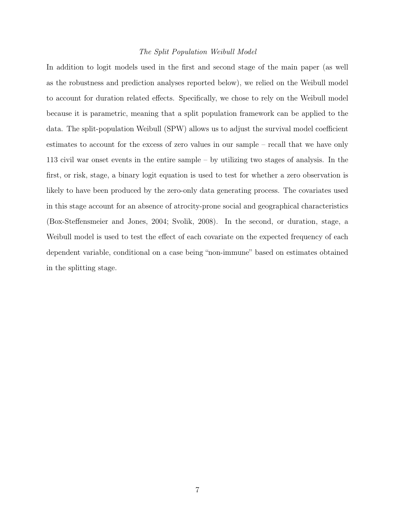#### The Split Population Weibull Model

In addition to logit models used in the first and second stage of the main paper (as well as the robustness and prediction analyses reported below), we relied on the Weibull model to account for duration related effects. Specifically, we chose to rely on the Weibull model because it is parametric, meaning that a split population framework can be applied to the data. The split-population Weibull (SPW) allows us to adjust the survival model coefficient estimates to account for the excess of zero values in our sample – recall that we have only 113 civil war onset events in the entire sample – by utilizing two stages of analysis. In the first, or risk, stage, a binary logit equation is used to test for whether a zero observation is likely to have been produced by the zero-only data generating process. The covariates used in this stage account for an absence of atrocity-prone social and geographical characteristics (Box-Steffensmeier and Jones, 2004; Svolik, 2008). In the second, or duration, stage, a Weibull model is used to test the effect of each covariate on the expected frequency of each dependent variable, conditional on a case being "non-immune" based on estimates obtained in the splitting stage.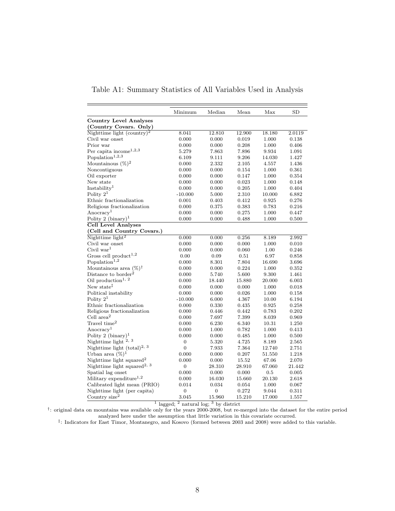|                                         | Minimum                                                                 | Median         | Mean   | Max     | SD     |
|-----------------------------------------|-------------------------------------------------------------------------|----------------|--------|---------|--------|
| <b>Country Level Analyses</b>           |                                                                         |                |        |         |        |
| (Country Covars. Only)                  |                                                                         |                |        |         |        |
| Nighttime light $(\text{country})^2$    | 8.041                                                                   | 12.810         | 12.900 | 18.180  | 2.0119 |
| Civil war onset                         | 0.000                                                                   | 0.000          | 0.019  | 1.000   | 0.138  |
| Prior war                               | 0.000                                                                   | 0.000          | 0.208  | 1.000   | 0.406  |
| Per capita income $^{1,2,3}$            | 5.279                                                                   | 7.863          | 7.896  | 9.934   | 1.091  |
| Population <sup>1,2,3</sup>             | 6.109                                                                   | 9.111          | 9.206  | 14.030  | 1.427  |
| Mountainous $(\%)^2$                    | 0.000                                                                   | 2.332          | 2.105  | 4.557   | 1.436  |
| Noncontiguous                           | 0.000                                                                   | 0.000          | 0.154  | 1.000   | 0.361  |
| Oil exporter                            | 0.000                                                                   | 0.000          | 0.147  | 1.000   | 0.354  |
| New state                               | 0.000                                                                   | 0.000          | 0.023  | 1.000   | 0.148  |
| Instability <sup>1</sup>                | 0.000                                                                   | 0.000          | 0.205  | 1.000   | 0.404  |
| Polity $2^1$                            | $-10.000$                                                               | 5.000          | 2.310  | 10.000  | 6.882  |
| Ethnic fractionalization                | 0.001                                                                   | 0.403          | 0.412  | 0.925   | 0.276  |
| Religious fractionalization             | 0.000                                                                   | 0.375          | 0.383  | 0.783   | 0.216  |
| Anocracy <sup>1</sup>                   | 0.000                                                                   | 0.000          | 0.275  | 1.000   | 0.447  |
| Polity 2 $(binary)^1$                   | 0.000                                                                   | 0.000          | 0.488  | 1.000   | 0.500  |
| <b>Cell Level Analyses</b>              |                                                                         |                |        |         |        |
| (Cell and Country Covars.)              |                                                                         |                |        |         |        |
| Nighttime light <sup>2</sup>            | 0.000                                                                   | 0.000          | 0.256  | 8.189   | 2.992  |
| Civil war onset                         | 0.000                                                                   | 0.000          | 0.000  | 1.000   | 0.010  |
| Civil war <sup>1</sup>                  | 0.000                                                                   | 0.000          | 0.060  | 1.00    | 0.246  |
| Gross cell product <sup>1,2</sup>       | 0.00                                                                    | 0.09           | 0.51   | 6.97    | 0.858  |
| Population <sup>1,2</sup>               | 0.000                                                                   | 8.301          | 7.804  | 16.690  | 3.696  |
| Mountainous area $(\%)^{\dagger}$       | 0.000                                                                   | 0.000          | 0.224  | 1.000   | 0.352  |
| Distance to border <sup>2</sup>         | 0.000                                                                   | 5.740          | 5.600  | 9.300   | 1.461  |
| Oil production <sup>1, 2</sup>          | 0.000                                                                   | 18.440         | 15.880 | 20.000  | 6.003  |
| New state <sup>‡</sup>                  | 0.000                                                                   | 0.000          | 0.000  | 1.000   | 0.018  |
| Political instability                   | 0.000                                                                   | 0.000          | 0.026  | 1.000   | 0.158  |
| Polity $2^1$                            | $-10.000$                                                               | 6.000          | 4.367  | 10.00   | 6.194  |
| Ethnic fractionalization                | 0.000                                                                   | 0.330          | 0.435  | 0.925   | 0.258  |
| Religious fractionalization             | 0.000                                                                   | 0.446          | 0.442  | 0.783   | 0.202  |
| Cell $area2$                            | 0.000                                                                   | 7.697          | 7.399  | 8.039   | 0.969  |
| Travel time <sup>2</sup>                | 0.000                                                                   | 6.230          | 6.340  | 10.31   | 1.250  |
| Anocracy <sup>1</sup>                   | 0.000                                                                   | 1.000          | 0.782  | 1.000   | 0.413  |
| Polity 2 (binary) <sup>1</sup>          | 0.000                                                                   | 0.000          | 0.485  | 1.000   | 0.500  |
| Nighttime light <sup>2, 3</sup>         | $\boldsymbol{0}$                                                        | 5.320          | 4.725  | 8.189   | 2.565  |
| Nighttime light $(total)^{2, 3}$        | $\boldsymbol{0}$                                                        | 7.933          | 7.364  | 12.740  | 2.751  |
| Urban area $(\%)^1$                     | 0.000                                                                   | 0.000          | 0.207  | 51.550  | 1.218  |
| Nighttime light squared <sup>2</sup>    | 0.000                                                                   | 0.000          | 15.52  | 67.06   | 2.070  |
| Night ime light squared <sup>2, 3</sup> | $\boldsymbol{0}$                                                        | 28.310         | 28.910 | 67.060  | 21.442 |
| Spatial lag onset                       | 0.000                                                                   | 0.000          | 0.000  | $0.5\,$ | 0.005  |
| Military expenditure <sup>1,2</sup>     | 0.000                                                                   | 16.030         | 15.660 | 20.130  | 2.618  |
| Calibrated light mean (PRIO)            | 0.014                                                                   | 0.034          | 0.054  | 1.000   | 0.067  |
| Nighttime light (per capita)            | $\boldsymbol{0}$                                                        | $\overline{0}$ | 0.272  | 9.044   | 0.311  |
| Country size <sup>2</sup>               | $3.045\,$                                                               | 15.960         | 15.210 | 17.000  | 1.557  |
|                                         | <sup>1</sup> lagged; <sup>2</sup> natural log; <sup>3</sup> by district |                |        |         |        |

Table A1: Summary Statistics of All Variables Used in Analysis

analyzed here under the assumption that little variation in this covariate occurred.

‡ : Indicators for East Timor, Montanegro, and Kosovo (formed between 2003 and 2008) were added to this variable.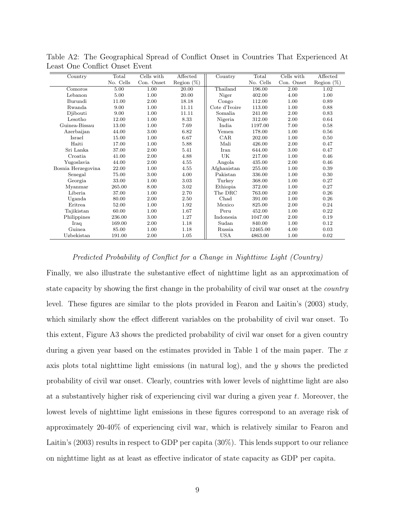| Country            | Total     | Cells with | Affected      | Country       | Total     | Cells with | Affected      |
|--------------------|-----------|------------|---------------|---------------|-----------|------------|---------------|
|                    | No. Cells | Con. Onset | Region $(\%)$ |               | No. Cells | Con. Onset | Region $(\%)$ |
| Comoros            | 5.00      | 1.00       | 20.00         | Thailand      | 196.00    | 2.00       | 1.02          |
| Lebanon            | 5.00      | 1.00       | 20.00         | Niger         | 402.00    | 4.00       | 1.00          |
| Burundi            | 11.00     | 2.00       | 18.18         | Congo         | 112.00    | 1.00       | 0.89          |
| Rwanda             | 9.00      | 1.00       | 11.11         | Cote d'Ivoire | 113.00    | 1.00       | 0.88          |
| Diibouti           | 9.00      | 1.00       | 11.11         | Somalia       | 241.00    | 2.00       | 0.83          |
| Lesotho            | 12.00     | 1.00       | 8.33          | Nigeria       | 312.00    | 2.00       | 0.64          |
| Guinea-Bissau      | 13.00     | 1.00       | 7.69          | India         | 1197.00   | 7.00       | 0.58          |
| Azerbaijan         | 44.00     | 3.00       | 6.82          | Yemen         | 178.00    | 1.00       | 0.56          |
| Israel             | 15.00     | 1.00       | 6.67          | CAR           | 202.00    | 1.00       | 0.50          |
| Haiti              | 17.00     | 1.00       | 5.88          | Mali          | 426.00    | 2.00       | 0.47          |
| Sri Lanka          | 37.00     | 2.00       | 5.41          | Iran          | 644.00    | 3.00       | 0.47          |
| Croatia            | 41.00     | 2.00       | 4.88          | UK            | 217.00    | 1.00       | 0.46          |
| Yugoslavia         | 44.00     | 2.00       | 4.55          | Angola        | 435.00    | 2.00       | 0.46          |
| Bosnia Herzegovina | 22.00     | 1.00       | 4.55          | Afghanistan   | 255.00    | 1.00       | 0.39          |
| Senegal            | 75.00     | 3.00       | 4.00          | Pakistan      | 336.00    | 1.00       | 0.30          |
| Georgia            | 33.00     | 1.00       | 3.03          | Turkey        | 368.00    | 1.00       | 0.27          |
| Myanmar            | 265.00    | 8.00       | 3.02          | Ethiopia      | 372.00    | 1.00       | 0.27          |
| Liberia            | 37.00     | 1.00       | 2.70          | The DRC       | 763.00    | 2.00       | 0.26          |
| Uganda             | 80.00     | 2.00       | 2.50          | Chad          | 391.00    | 1.00       | 0.26          |
| Eritrea            | 52.00     | 1.00       | 1.92          | Mexico        | 825.00    | 2.00       | 0.24          |
| Tajikistan         | 60.00     | 1.00       | 1.67          | Peru          | 452.00    | 1.00       | 0.22          |
| Philippines        | 236.00    | 3.00       | 1.27          | Indonesia     | 1047.00   | 2.00       | 0.19          |
| Iraq               | 169.00    | 2.00       | 1.18          | Sudan         | 840.00    | 1.00       | 0.12          |
| Guinea             | 85.00     | 1.00       | 1.18          | Russia        | 12465.00  | 4.00       | 0.03          |
| Uzbekistan         | 191.00    | 2.00       | 1.05          | <b>USA</b>    | 4863.00   | 1.00       | 0.02          |

Table A2: The Geographical Spread of Conflict Onset in Countries That Experienced At Least One Conflict Onset Event

#### Predicted Probability of Conflict for a Change in Nighttime Light (Country)

Finally, we also illustrate the substantive effect of nighttime light as an approximation of state capacity by showing the first change in the probability of civil war onset at the *country* level. These figures are similar to the plots provided in Fearon and Laitin's (2003) study, which similarly show the effect different variables on the probability of civil war onset. To this extent, Figure A3 shows the predicted probability of civil war onset for a given country during a given year based on the estimates provided in Table 1 of the main paper. The x axis plots total nighttime light emissions (in natural log), and the  $y$  shows the predicted probability of civil war onset. Clearly, countries with lower levels of nighttime light are also at a substantively higher risk of experiencing civil war during a given year t. Moreover, the lowest levels of nighttime light emissions in these figures correspond to an average risk of approximately 20-40% of experiencing civil war, which is relatively similar to Fearon and Laitin's (2003) results in respect to GDP per capita (30%). This lends support to our reliance on nighttime light as at least as effective indicator of state capacity as GDP per capita.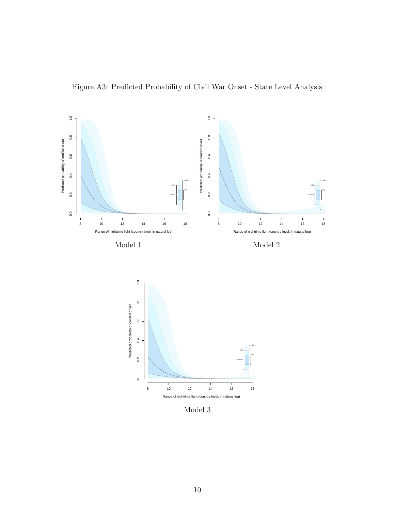



Range of nighttime light (country level, in natural log)

Model 3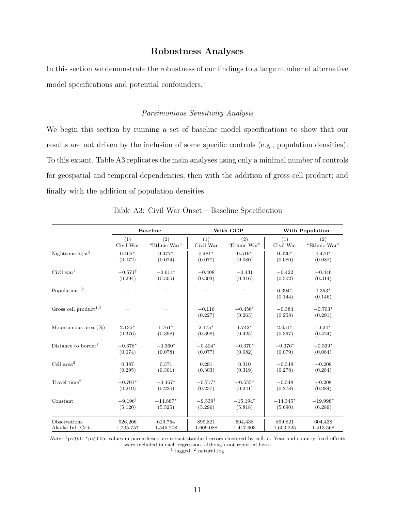#### Robustness Analyses

In this section we demonstrate the robustness of our findings to a large number of alternative model specifications and potential confounders.

#### Parsimonious Sensitivity Analysis

We begin this section by running a set of baseline model specifications to show that our results are not driven by the inclusion of some specific controls (e.g., population densities). To this extant, Table A3 replicates the main analyses using only a minimal number of controls for geospatial and temporal dependencies; then with the addition of gross cell product; and finally with the addition of population densities.

|                                   |                    | <b>Baseline</b> |                     | With GCP                      |                     | <b>With Population</b> |
|-----------------------------------|--------------------|-----------------|---------------------|-------------------------------|---------------------|------------------------|
|                                   | (1)                | (2)             | (1)                 | (2)                           | (1)                 | (2)                    |
|                                   | Civil War          | "Ethnic War"    | Civil War           | "Ethnic War"                  | Civil War           | "Ethnic War"           |
| Nighttime light $^2$              | $0.465*$           | $0.477*$        | $0.481*$            | $0.516*$                      | $0.426*$            | $0.470*$               |
|                                   | (0.072)            | (0.074)         | (0.077)             | (0.080)                       | (0.080)             | (0.082)                |
| Civil war $1$                     | $-0.571^{\dagger}$ | $-0.614*$       | $-0.408$            | $-0.431$                      | $-0.422$            | $-0.446$               |
|                                   | (0.294)            | (0.305)         | (0.303)             | (0.316)                       | (0.302)             | (0.314)                |
| Population <sup>1,2</sup>         |                    |                 |                     |                               | $0.394*$<br>(0.144) | $0.353*$<br>(0.146)    |
| Gross cell product <sup>1,2</sup> |                    |                 | $-0.116$<br>(0.227) | $-0.456^{\dagger}$<br>(0.263) | $-0.384$<br>(0.258) | $-0.703*$<br>(0.291)   |
| Mountainous area $(\%)$           | $2.135*$           | $1.761*$        | $2.175*$            | $1.742*$                      | $2.051*$            | $1.624*$               |
|                                   | (0.376)            | (0.398)         | (0.398)             | (0.425)                       | (0.397)             | (0.424)                |
| Distance to border <sup>2</sup>   | $-0.378*$          | $-0.360*$       | $-0.404*$           | $-0.370*$                     | $-0.376*$           | $-0.339*$              |
|                                   | (0.074)            | (0.078)         | (0.077)             | (0.082)                       | (0.079)             | (0.084)                |
| Cell $area2$                      | 0.387              | 0.371           | 0.291               | 0.310                         | $-0.348$            | $-0.208$               |
|                                   | (0.295)            | (0.301)         | (0.303)             | (0.319)                       | (0.278)             | (0.284)                |
| Travel time <sup>2</sup>          | $-0.701*$          | $-0.467*$       | $-0.717*$           | $-0.555*$                     | $-0.348$            | $-0.208$               |
|                                   | (0.219)            | (0.220)         | (0.237)             | (0.241)                       | (0.278)             | (0.284)                |
| Constant                          | $-9.196^{\dagger}$ | $-14.887*$      | $-9.539^{\dagger}$  | $-15.194*$                    | $-14.345*$          | $-19.998*$             |
|                                   | (5.120)            | (5.525)         | (5.296)             | (5.818)                       | (5.690)             | (6.289)                |
| Observations                      | 926,206            | 629,754         | 899,821             | 604,438                       | 899,821             | 604,438                |
| Akaike Inf. Crit.                 | 1,735.757          | 1,545.208       | 1,609.088           | 1,417.603                     | 1,603.225           | 1,413.568              |

|  |  |  |  |  | Table A3: Civil War Onset – Baseline Specification |
|--|--|--|--|--|----------------------------------------------------|
|--|--|--|--|--|----------------------------------------------------|

Note:  $\uparrow$ p<0.1; \*p<0.05; values in parentheses are robust standard errors clustered by cell-id. Year and country fixed effects were included in each regression, although not reported here.

<sup>1</sup> lagged; <sup>2</sup> natural log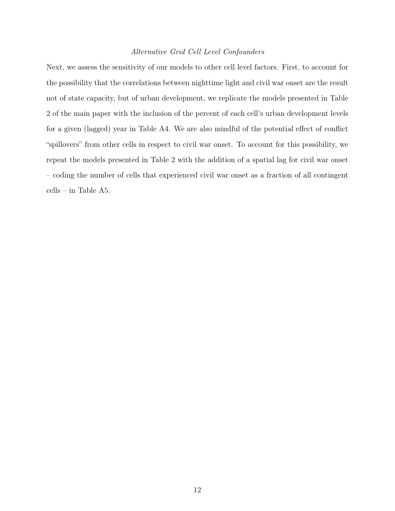#### Alternative Grid Cell Level Confounders

Next, we assess the sensitivity of our models to other cell level factors. First, to account for the possibility that the correlations between nighttime light and civil war onset are the result not of state capacity, but of urban development, we replicate the models presented in Table 2 of the main paper with the inclusion of the percent of each cell's urban development levels for a given (lagged) year in Table A4. We are also mindful of the potential effect of conflict "spillovers" from other cells in respect to civil war onset. To account for this possibility, we repeat the models presented in Table 2 with the addition of a spatial lag for civil war onset – coding the number of cells that experienced civil war onset as a fraction of all contingent cells – in Table A5.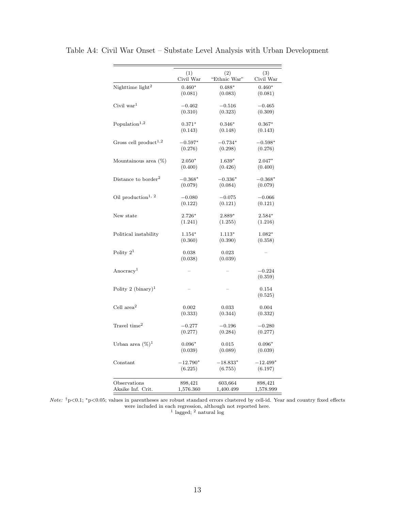|                                   | (1)                 | (2)                 | (3)                 |
|-----------------------------------|---------------------|---------------------|---------------------|
|                                   | Civil War           | "Ethnic War"        | Civil War           |
| Nighttime light <sup>2</sup>      | $0.460*$            | $0.488*$            | $0.460*$            |
|                                   | (0.081)             | (0.083)             | (0.081)             |
| Civil war $1$                     | $-0.462$            | $-0.516$            | $-0.465$            |
|                                   | (0.310)             | (0.323)             | (0.309)             |
| Population <sup>1,2</sup>         | $0.371*$            | $0.346*$            | $0.367*$            |
|                                   | (0.143)             | (0.148)             | (0.143)             |
| Gross cell product <sup>1,2</sup> | $-0.597*$           | $-0.734*$           | $-0.598*$           |
|                                   | (0.276)             | (0.298)             | (0.276)             |
| Mountainous area $(\%)$           | $2.050*$            | $1.639*$            | $2.047*$            |
|                                   | (0.400)             | (0.426)             | (0.400)             |
| Distance to border <sup>2</sup>   | $-0.368*$           | $-0.336*$           | $-0.368*$           |
|                                   | (0.079)             | (0.084)             | (0.079)             |
| Oil production <sup>1, 2</sup>    | $-0.080$            | $-0.075$            | $-0.066$            |
|                                   | (0.122)             | (0.121)             | (0.121)             |
| New state                         | 2.726*              | 2.889*              | $2.584*$            |
|                                   | (1.241)             | (1.255)             | (1.216)             |
| Political instability             | $1.154*$            | $1.113*$            | $1.082*$            |
|                                   | (0.360)             | (0.390)             | (0.358)             |
| Polity $2^1$                      | 0.038               | $\,0.023\,$         |                     |
|                                   | (0.038)             | (0.039)             |                     |
| Anocracy <sup>1</sup>             |                     |                     | $-0.224$            |
|                                   |                     |                     | (0.359)             |
|                                   |                     |                     |                     |
| Polity 2 $(binary)^1$             |                     |                     | 0.154<br>(0.525)    |
|                                   |                     |                     |                     |
| Cell $area2$                      | 0.002<br>(0.333)    | 0.033<br>(0.344)    | 0.004<br>(0.332)    |
|                                   |                     |                     |                     |
| Travel time <sup>2</sup>          | $-0.277$<br>(0.277) | $-0.196$<br>(0.284) | $-0.280$<br>(0.277) |
|                                   |                     |                     |                     |
| Urban area $(\%)^1$               | $0.096*$<br>(0.039) | 0.015<br>(0.089)    | $0.096*$<br>(0.039) |
|                                   |                     |                     |                     |
| Constant                          | $-12.790*$          | $-18.833*$          | $-12.499*$          |
|                                   | (6.225)             | (6.755)             | (6.197)             |
| Observations                      | 898,421             | 603,664             | 898,421             |
| Akaike Inf. Crit.                 | 1,576.360           | 1,400.499           | 1,578.999           |

Table A4: Civil War Onset – Substate Level Analysis with Urban Development

Note:  $\uparrow$ p<0.1; \*p<0.05; values in parentheses are robust standard errors clustered by cell-id. Year and country fixed effects were included in each regression, although not reported here.<br><sup>1</sup> lagged; <sup>2</sup> natural log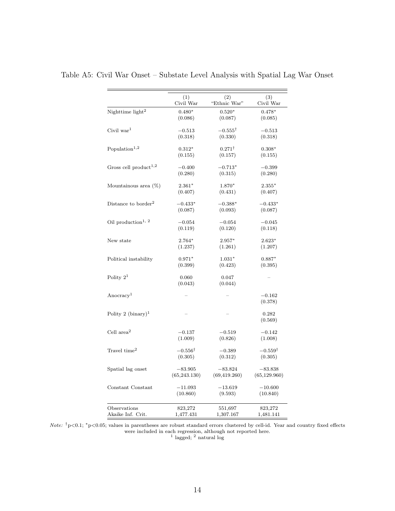|                                   | (1)<br>Civil War     | (2)<br>"Ethnic War"  | (3)<br>Civil War     |
|-----------------------------------|----------------------|----------------------|----------------------|
| Nighttime light <sup>2</sup>      | $0.480*$             | $0.520*$             | $0.478*$             |
|                                   | (0.086)              | (0.087)              | (0.085)              |
|                                   |                      |                      |                      |
| Civil $\text{war}^1$              | $-0.513$             | $-0.555^{\dagger}$   | $-0.513$             |
|                                   | (0.318)              | (0.330)              | (0.318)              |
| Population <sup>1,2</sup>         | $0.312*$             | $0.271^{\dagger}$    | $0.308*$             |
|                                   | (0.155)              | (0.157)              | (0.155)              |
|                                   |                      |                      |                      |
| Gross cell product <sup>1,2</sup> | $-0.400$             | $-0.713*$            | $-0.399$             |
|                                   | (0.280)              | (0.315)              | (0.280)              |
| Mountainous area $(\%)$           | $2.361*$             | 1.870*               | $2.355*$             |
|                                   | (0.407)              | (0.431)              | (0.407)              |
|                                   |                      |                      |                      |
| Distance to border <sup>2</sup>   | $-0.433*$            | $-0.388*$            | $-0.433*$            |
|                                   | (0.087)              | (0.093)              | (0.087)              |
| Oil production <sup>1, 2</sup>    | $-0.054$             | $-0.054$             | $-0.045$             |
|                                   | (0.119)              | (0.120)              | (0.118)              |
|                                   |                      |                      |                      |
| New state                         | 2.764*               | $2.957*$             | $2.623*$             |
|                                   | (1.237)              | (1.261)              | (1.207)              |
| Political instability             | $0.971*$             | $1.031*$             | $0.887*$             |
|                                   | (0.399)              | (0.423)              | (0.395)              |
|                                   |                      |                      |                      |
| Polity $2^1$                      | 0.060                | 0.047                |                      |
|                                   | (0.043)              | (0.044)              |                      |
| Anocracy <sup>1</sup>             |                      |                      | $-0.162$             |
|                                   |                      |                      | (0.378)              |
|                                   |                      |                      |                      |
| Polity 2 $(binary)^1$             |                      |                      | 0.282                |
|                                   |                      |                      | (0.569)              |
| Cell $area2$                      | $-0.137$             | $-0.519$             | $-0.142$             |
|                                   | (1.009)              | (0.826)              | (1.008)              |
|                                   |                      |                      |                      |
| Travel time $^2$                  | $-0.556^{\dagger}$   | $-0.389$             | $-0.559^{\dagger}$   |
|                                   | (0.305)              | (0.312)              | (0.305)              |
| Spatial lag onset                 | $-83.905$            | $-83.824$            | $-83.838$            |
|                                   | (65, 243.130)        | (69, 419.260)        | (65, 129.960)        |
|                                   |                      |                      |                      |
| Constant Constant                 | $-11.093$            | $-13.619$            | $-10.600$            |
|                                   | (10.860)             | (9.593)              | (10.840)             |
|                                   |                      |                      |                      |
| Observations<br>Akaike Inf. Crit. | 823,272<br>1,477.431 | 551,697<br>1,307.167 | 823,272<br>1,481.141 |

Table A5: Civil War Onset – Substate Level Analysis with Spatial Lag War Onset

Note: †p<0.1; <sup>∗</sup>p<0.05; values in parentheses are robust standard errors clustered by cell-id. Year and country fixed effects were included in each regression, although not reported here.<br><sup>1</sup> lagged; <sup>2</sup> natural log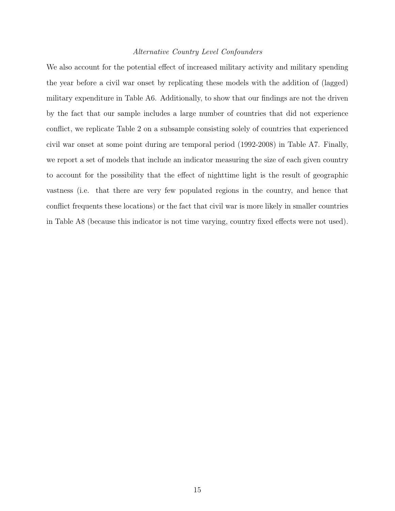#### Alternative Country Level Confounders

We also account for the potential effect of increased military activity and military spending the year before a civil war onset by replicating these models with the addition of (lagged) military expenditure in Table A6. Additionally, to show that our findings are not the driven by the fact that our sample includes a large number of countries that did not experience conflict, we replicate Table 2 on a subsample consisting solely of countries that experienced civil war onset at some point during are temporal period (1992-2008) in Table A7. Finally, we report a set of models that include an indicator measuring the size of each given country to account for the possibility that the effect of nighttime light is the result of geographic vastness (i.e. that there are very few populated regions in the country, and hence that conflict frequents these locations) or the fact that civil war is more likely in smaller countries in Table A8 (because this indicator is not time varying, country fixed effects were not used).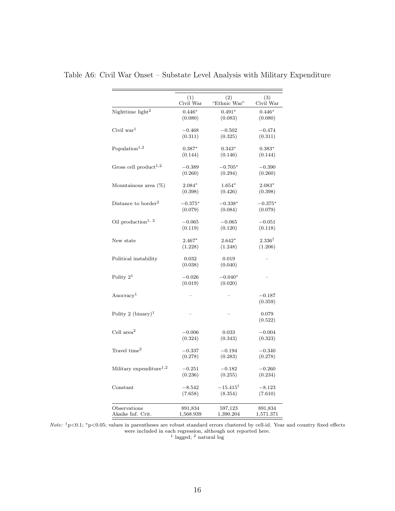|                                     | (1)                 | (2)                  | (3)                 |
|-------------------------------------|---------------------|----------------------|---------------------|
|                                     | Civil War           | "Ethnic War"         | Civil War           |
| Nighttime light <sup>2</sup>        | $0.446*$            | $0.491*$             | $0.446*$            |
|                                     | (0.080)             | (0.083)              | (0.080)             |
| Civil war <sup>1</sup>              | $-0.468$            | $-0.502$             | $-0.474$            |
|                                     | (0.311)             | (0.325)              | (0.311)             |
| Population <sup>1,2</sup>           | $0.387*$            | $0.343*$             | $0.383*$            |
|                                     | (0.144)             | (0.146)              | (0.144)             |
| Gross cell product <sup>1,2</sup>   | $-0.389$            | $-0.705*$            | $-0.390$            |
|                                     | (0.260)             | (0.294)              | (0.260)             |
| Mountainous area $(\%)$             | 2.084*              | $1.654*$             | 2.083*              |
|                                     | (0.398)             | (0.426)              | (0.398)             |
| Distance to border <sup>2</sup>     | $-0.375*$           | $-0.338*$            | $-0.375*$           |
|                                     | (0.079)             | (0.084)              | (0.079)             |
| Oil production <sup>1, 2</sup>      | $-0.065$            | $-0.065$             | $-0.051$            |
|                                     | (0.119)             | (0.120)              | (0.118)             |
| New state                           | $2.467*$            | $2.642*$             | $2.336^{\dagger}$   |
|                                     | (1.228)             | (1.248)              | (1.206)             |
| Political instability               | 0.032<br>(0.038)    | 0.019<br>(0.040)     |                     |
| Polity $2^1$                        | $-0.026$<br>(0.019) | $-0.040*$<br>(0.020) |                     |
| Anocracy <sup>1</sup>               |                     |                      | $-0.187$<br>(0.359) |
| Polity 2 $(binary)^1$               |                     |                      | 0.079<br>(0.522)    |
| Cell $area2$                        | $-0.006$            | 0.033                | $-0.004$            |
|                                     | (0.324)             | (0.343)              | (0.323)             |
| Travel time $^2$                    | $-0.337$            | $-0.194$             | $-0.340$            |
|                                     | (0.278)             | (0.283)              | (0.278)             |
| Military expenditure <sup>1,2</sup> | $-0.251$            | $-0.182$             | $-0.260$            |
|                                     | (0.236)             | (0.255)              | (0.234)             |
| Constant                            | $-8.542$            | $-15.415^{\dagger}$  | $-8.123$            |
|                                     | (7.658)             | (8.354)              | (7.610)             |
| Observations                        | 891,834             | 597,123              | 891,834             |
| Akaike Inf. Crit.                   | 1,568.939           | 1,390.204            | 1,571.371           |

Table A6: Civil War Onset – Substate Level Analysis with Military Expenditure

Note: †p<0.1; <sup>∗</sup>p<0.05; values in parentheses are robust standard errors clustered by cell-id. Year and country fixed effects were included in each regression, although not reported here.<br><sup>1</sup> lagged; <sup>2</sup> natural log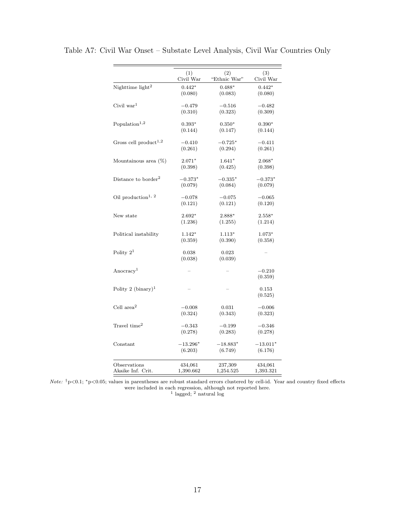|                                   | (1)              | (2)              | (3)                 |
|-----------------------------------|------------------|------------------|---------------------|
|                                   | Civil War        | "Ethnic War"     | Civil War           |
| Nighttime light <sup>2</sup>      | $0.442*$         | $0.488*$         | $0.442*$            |
|                                   | (0.080)          | (0.083)          | (0.080)             |
| Civil $\text{war}^1$              | $-0.479$         | $-0.516$         | $-0.482$            |
|                                   | (0.310)          | (0.323)          | (0.309)             |
| Population <sup>1,2</sup>         | $0.393*$         | $0.350*$         | $0.390*$            |
|                                   | (0.144)          | (0.147)          | (0.144)             |
| Gross cell product <sup>1,2</sup> | $-0.410$         | $-0.725*$        | $-0.411$            |
|                                   | (0.261)          | (0.294)          | (0.261)             |
| Mountainous area $(\%)$           | $2.071*$         | $1.641*$         | 2.068*              |
|                                   | (0.398)          | (0.425)          | (0.398)             |
| Distance to border <sup>2</sup>   | $-0.373*$        | $-0.335*$        | $-0.373*$           |
|                                   | (0.079)          | (0.084)          | (0.079)             |
| Oil production <sup>1, 2</sup>    | $-0.078$         | $-0.075$         | $-0.065$            |
|                                   | (0.121)          | (0.121)          | (0.120)             |
| New state                         | 2.692*           | 2.888*           | $2.558*$            |
|                                   | (1.236)          | (1.255)          | (1.214)             |
| Political instability             | $1.142*$         | $1.113*$         | 1.073*              |
|                                   | (0.359)          | (0.390)          | (0.358)             |
| Polity $2^1$                      | 0.038<br>(0.038) | 0.023<br>(0.039) |                     |
| Anocracy <sup>1</sup>             |                  |                  | $-0.210$<br>(0.359) |
| Polity 2 (binary) <sup>1</sup>    |                  |                  | 0.153<br>(0.525)    |
| Cell $area2$                      | $-0.008$         | 0.031            | $-0.006$            |
|                                   | (0.324)          | (0.343)          | (0.323)             |
| Travel time <sup>2</sup>          | $-0.343$         | $-0.199$         | $-0.346$            |
|                                   | (0.278)          | (0.283)          | (0.278)             |
| Constant                          | $-13.296*$       | $-18.883*$       | $-13.011*$          |
|                                   | (6.203)          | (6.749)          | (6.176)             |
| Observations                      | 434,061          | 237,309          | 434,061             |
| Akaike Inf. Crit.                 | 1,390.662        | 1,254.525        | 1,393.321           |

Table A7: Civil War Onset – Substate Level Analysis, Civil War Countries Only

Note:  $\uparrow$ p<0.1; \*p<0.05; values in parentheses are robust standard errors clustered by cell-id. Year and country fixed effects were included in each regression, although not reported here.<br><sup>1</sup> lagged; <sup>2</sup> natural log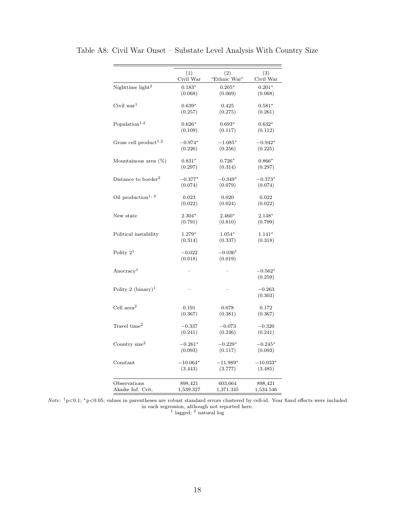|                                   | (1)                 | (2)                           | (3)                  |
|-----------------------------------|---------------------|-------------------------------|----------------------|
|                                   | $\hbox{Civil}$ War  | "Ethnic War"                  | Civil War            |
| Nighttime light <sup>2</sup>      | $0.183*$            | $0.205*$                      | $0.201*$             |
|                                   | (0.068)             | (0.069)                       | (0.068)              |
| Civil $\text{war}^1$              | $0.639*$            | 0.425                         | $0.581*$             |
|                                   | (0.257)             | (0.275)                       | (0.261)              |
| Population <sup>1,2</sup>         | $0.626*$            | $0.693*$                      | $0.632*$             |
|                                   | (0.109)             | (0.117)                       | (0.112)              |
| Gross cell product <sup>1,2</sup> | $-0.974*$           | $-1.085*$                     | $-0.942*$            |
|                                   | (0.226)             | (0.256)                       | (0.225)              |
| Mountainous area $(\%)$           | $0.831*$            | $0.726*$                      | $0.866*$             |
|                                   | (0.297)             | (0.314)                       | (0.297)              |
| Distance to border <sup>2</sup>   | $-0.377*$           | $-0.349*$                     | $-0.373*$            |
|                                   | (0.074)             | (0.079)                       | (0.074)              |
| Oil production <sup>1, 2</sup>    | 0.023               | 0.020                         | 0.022                |
|                                   | (0.022)             | (0.024)                       | (0.022)              |
| New state                         | 2.304*              | 2.460*                        | 2.148*               |
|                                   | (0.791)             | (0.810)                       | (0.799)              |
| Political instability             | 1.279*              | $1.054*$                      | $1.141*$             |
|                                   | (0.314)             | (0.337)                       | (0.318)              |
| Polity $2^1$                      | $-0.022$<br>(0.018) | $-0.036^{\dagger}$<br>(0.019) |                      |
| Anocracy <sup>1</sup>             |                     |                               | $-0.562*$<br>(0.259) |
| Polity 2 $(binary)^1$             |                     |                               | $-0.263$<br>(0.303)  |
| Cell $area2$                      | 0.191               | 0.078                         | 0.172                |
|                                   | (0.367)             | (0.381)                       | (0.367)              |
| Travel time <sup>2</sup>          | $-0.337$            | $-0.073$                      | $-0.320$             |
|                                   | (0.241)             | (0.246)                       | (0.241)              |
| Country size <sup>2</sup>         | $-0.261*$           | $-0.229*$                     | $-0.245*$            |
|                                   | (0.093)             | (0.117)                       | (0.093)              |
| Constant                          | $-10.064*$          | $-11.989*$                    | $-10.033*$           |
|                                   | (3.443)             | (3.777)                       | (3.485)              |
| Observations                      | 898,421             | 603,664                       | 898,421              |
| Akaike Inf. Crit.                 | 1,539.327           | 1,371.345                     | 1,534.546            |

Table A8: Civil War Onset – Substate Level Analysis With Country Size

Note:  $\uparrow$ p<0.1;  $\uparrow$ p<0.05; values in parentheses are robust standard errors clustered by cell-id. Year fixed effects were included in each regression, although not reported here.<br> $1$  lagged;  $2$  natural log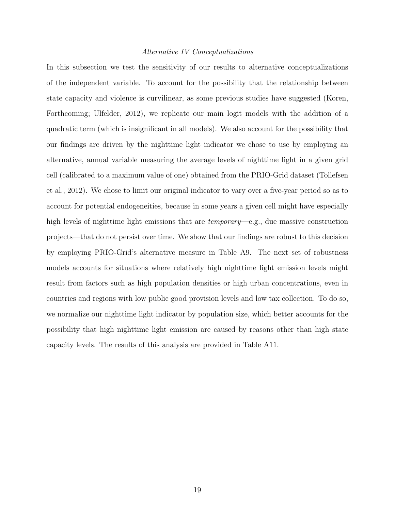#### Alternative IV Conceptualizations

In this subsection we test the sensitivity of our results to alternative conceptualizations of the independent variable. To account for the possibility that the relationship between state capacity and violence is curvilinear, as some previous studies have suggested (Koren, Forthcoming; Ulfelder, 2012), we replicate our main logit models with the addition of a quadratic term (which is insignificant in all models). We also account for the possibility that our findings are driven by the nighttime light indicator we chose to use by employing an alternative, annual variable measuring the average levels of nighttime light in a given grid cell (calibrated to a maximum value of one) obtained from the PRIO-Grid dataset (Tollefsen et al., 2012). We chose to limit our original indicator to vary over a five-year period so as to account for potential endogeneities, because in some years a given cell might have especially high levels of nighttime light emissions that are *temporary*—e.g., due massive construction projects—that do not persist over time. We show that our findings are robust to this decision by employing PRIO-Grid's alternative measure in Table A9. The next set of robustness models accounts for situations where relatively high nighttime light emission levels might result from factors such as high population densities or high urban concentrations, even in countries and regions with low public good provision levels and low tax collection. To do so, we normalize our nighttime light indicator by population size, which better accounts for the possibility that high nighttime light emission are caused by reasons other than high state capacity levels. The results of this analysis are provided in Table A11.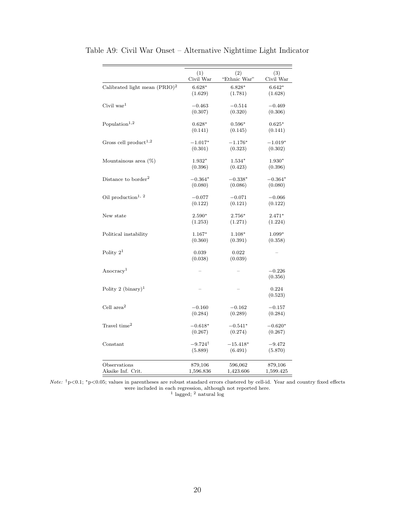|                                   | (1)<br>Civil War    | (2)<br>"Ethnic War" | (3)<br>Civil War    |
|-----------------------------------|---------------------|---------------------|---------------------|
| Calibrated light mean $(PRIO)^2$  | $6.628*$<br>(1.629) | $6.828*$<br>(1.781) | $6.642*$<br>(1.628) |
|                                   |                     |                     |                     |
| Civil war <sup>1</sup>            | $-0.463$<br>(0.307) | $-0.514$<br>(0.320) | $-0.469$<br>(0.306) |
| Population <sup>1,2</sup>         | $0.628*$            | $0.596*$            | $0.625*$            |
|                                   | (0.141)             | (0.145)             | (0.141)             |
| Gross cell product <sup>1,2</sup> | $-1.017*$           | $-1.176*$           | $-1.019*$           |
|                                   | (0.301)             | (0.323)             | (0.302)             |
| Mountainous area $(\%)$           | $1.932*$            | 1.534*              | 1.930*              |
|                                   | (0.396)             | (0.423)             | (0.396)             |
| Distance to border <sup>2</sup>   | $-0.364*$           | $-0.338*$           | $-0.364*$           |
|                                   | (0.080)             | (0.086)             | (0.080)             |
| Oil production <sup>1, 2</sup>    | $-0.077$            | $-0.071$            | $-0.066$            |
|                                   | (0.122)             | (0.121)             | (0.122)             |
| New state                         | 2.590*              | $2.756*$            | $2.471*$            |
|                                   | (1.253)             | (1.271)             | (1.224)             |
| Political instability             | $1.167*$            | 1.108*              | 1.099*              |
|                                   | (0.360)             | (0.391)             | (0.358)             |
| Polity $2^1$                      | 0.039               | 0.022               |                     |
|                                   | (0.038)             | (0.039)             |                     |
| Anocracy <sup>1</sup>             |                     |                     | $-0.226$            |
|                                   |                     |                     | (0.356)             |
| Polity 2 $(binary)^1$             |                     |                     | 0.224               |
|                                   |                     |                     | (0.523)             |
| Cell $area2$                      | $-0.160$            | $-0.162$            | $-0.157$            |
|                                   | (0.284)             | (0.289)             | (0.284)             |
| Travel time <sup>2</sup>          | $-0.618*$           | $-0.541*$           | $-0.620*$           |
|                                   | (0.267)             | (0.274)             | (0.267)             |
| Constant                          | $-9.724^{\dagger}$  | $-15.418*$          | $-9.472$            |
|                                   | (5.889)             | (6.491)             | (5.870)             |
| Observations                      | 879,106             | 596,062             | 879,106             |
| Akaike Inf. Crit.                 | 1,596.836           | 1,423.606           | 1,599.425           |

Table A9: Civil War Onset – Alternative Nighttime Light Indicator

Note:  $\dagger$ p<0.1;  $\dagger$ p<0.05; values in parentheses are robust standard errors clustered by cell-id. Year and country fixed effects were included in each regression, although not reported here.<br><sup>1</sup> lagged; <sup>2</sup> natural log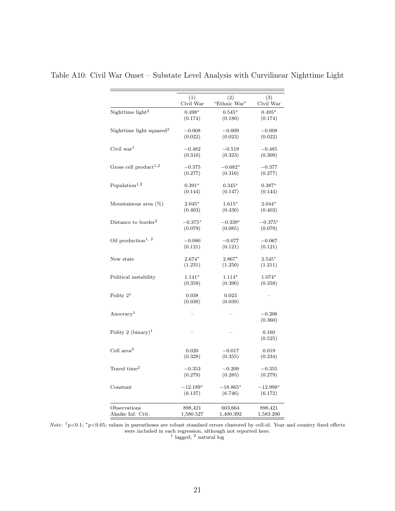|                                   | (1)              | (2)              | (3)                 |
|-----------------------------------|------------------|------------------|---------------------|
|                                   | Civil War        | "Ethnic War"     | Civil War           |
| Nighttime light <sup>2</sup>      | $0.498*$         | $0.545*$         | $0.495*$            |
|                                   | (0.174)          | (0.180)          | (0.174)             |
| Night split squared <sup>2</sup>  | $-0.008$         | $-0.009$         | $-0.008$            |
|                                   | (0.022)          | (0.023)          | (0.022)             |
| Civil war $1$                     | $-0.482$         | $-0.519$         | $-0.485$            |
|                                   | (0.310)          | (0.323)          | (0.309)             |
| Gross cell product <sup>1,2</sup> | $-0.375$         | $-0.682*$        | $-0.377$            |
|                                   | (0.277)          | (0.316)          | (0.277)             |
| Population <sup>1,2</sup>         | $0.391*$         | $0.345*$         | $0.387*$            |
|                                   | (0.144)          | (0.147)          | (0.144)             |
| Mountainous area $(\%)$           | $2.045*$         | $1.615*$         | $2.044*$            |
|                                   | (0.403)          | (0.430)          | (0.403)             |
| Distance to border <sup>2</sup>   | $-0.375*$        | $-0.339*$        | $-0.375*$           |
|                                   | (0.079)          | (0.085)          | (0.079)             |
| Oil production <sup>1, 2</sup>    | $-0.080$         | $-0.077$         | $-0.067$            |
|                                   | (0.121)          | (0.121)          | (0.121)             |
| New state                         | 2.674*           | 2.867*           | $2.545*$            |
|                                   | (1.231)          | (1.250)          | (1.211)             |
| Political instability             | $1.141*$         | $1.114*$         | 1.074*              |
|                                   | (0.359)          | (0.390)          | (0.358)             |
| Polity $2^1$                      | 0.038<br>(0.038) | 0.023<br>(0.039) |                     |
| Anocracy <sup>1</sup>             |                  |                  | $-0.206$<br>(0.360) |
| Polity 2 $(binary)^1$             |                  |                  | 0.160<br>(0.525)    |
| Cell $area2$                      | 0.020            | $-0.017$         | 0.019               |
|                                   | (0.328)          | (0.355)          | (0.334)             |
| Travel time <sup>2</sup>          | $-0.353$         | $-0.209$         | $-0.355$            |
|                                   | (0.279)          | (0.285)          | (0.279)             |
| Constant                          | $-12.189*$       | $-18.865*$       | $-12.998*$          |
|                                   | (6.137)          | (6.746)          | (6.172)             |
| Observations                      | 898,421          | 603,664          | 898,421             |
| Akaike Inf. Crit.                 | 1,580.527        | 1,400.392        | 1,583.200           |

Table A10: Civil War Onset – Substate Level Analysis with Curvilinear Nighttime Light

Note:  $\uparrow$ p<0.1; \*p<0.05; values in parentheses are robust standard errors clustered by cell-id. Year and country fixed effects were included in each regression, although not reported here.<br><sup>1</sup> lagged; <sup>2</sup> natural log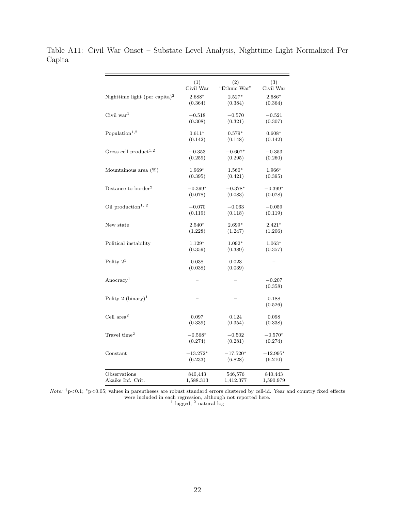|                                           | (1)              | (2)              | (3)                 |
|-------------------------------------------|------------------|------------------|---------------------|
|                                           | Civil War        | "Ethnic War"     | Civil War           |
| Nighttime light (per capita) <sup>2</sup> | 2.688*           | $2.527*$         | 2.686*              |
|                                           | (0.364)          | (0.384)          | (0.364)             |
| Civil $\text{war}^1$                      | $-0.518$         | $-0.570$         | $-0.521$            |
|                                           | (0.308)          | (0.321)          | (0.307)             |
| Population <sup>1,2</sup>                 | $0.611*$         | $0.579*$         | $0.608*$            |
|                                           | (0.142)          | (0.148)          | (0.142)             |
| Gross cell product <sup>1,2</sup>         | $-0.353$         | $-0.607*$        | $-0.353$            |
|                                           | (0.259)          | (0.295)          | (0.260)             |
| Mountainous area $(\%)$                   | 1.969*           | 1.560*           | 1.966*              |
|                                           | (0.395)          | (0.421)          | (0.395)             |
| Distance to border <sup>2</sup>           | $-0.399*$        | $-0.378*$        | $-0.399*$           |
|                                           | (0.078)          | (0.083)          | (0.078)             |
| Oil production <sup>1, 2</sup>            | $-0.070$         | $-0.063$         | $-0.059$            |
|                                           | (0.119)          | (0.118)          | (0.119)             |
| New state                                 | $2.540*$         | 2.699*           | $2.421*$            |
|                                           | (1.228)          | (1.247)          | (1.206)             |
| Political instability                     | $1.129*$         | 1.092*           | $1.063*$            |
|                                           | (0.359)          | (0.389)          | (0.357)             |
| Polity $2^1$                              | 0.038<br>(0.038) | 0.023<br>(0.039) |                     |
| Anocracy <sup>1</sup>                     |                  |                  | $-0.207$<br>(0.358) |
| Polity 2 $(binary)^1$                     |                  |                  | 0.188<br>(0.526)    |
| Cell $area2$                              | 0.097            | 0.124            | 0.098               |
|                                           | (0.339)          | (0.354)          | (0.338)             |
| Travel time <sup>2</sup>                  | $-0.568*$        | $-0.502$         | $-0.570*$           |
|                                           | (0.274)          | (0.281)          | (0.274)             |
| Constant                                  | $-13.272*$       | $-17.520*$       | $-12.995*$          |
|                                           | (6.233)          | (6.828)          | (6.210)             |
| Observations                              | 840,443          | 546,576          | 840,443             |
| Akaike Inf. Crit.                         | 1,588.313        | 1,412.377        | 1,590.979           |

Table A11: Civil War Onset – Substate Level Analysis, Nighttime Light Normalized Per Capita

Note:  $\frac{1}{1}p<0.1$ ;  $\frac{k}{p}<0.05$ ; values in parentheses are robust standard errors clustered by cell-id. Year and country fixed effects were included in each regression, although not reported here.<br><sup>1</sup> lagged; <sup>2</sup> natural log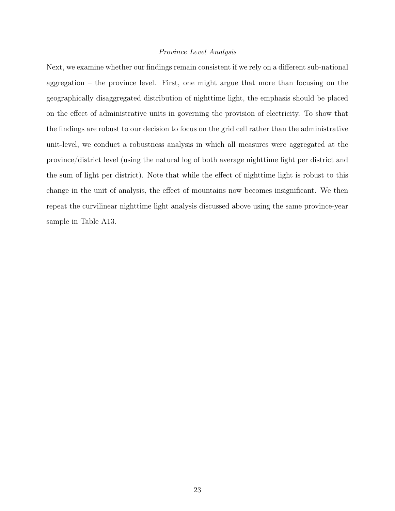#### Province Level Analysis

Next, we examine whether our findings remain consistent if we rely on a different sub-national aggregation – the province level. First, one might argue that more than focusing on the geographically disaggregated distribution of nighttime light, the emphasis should be placed on the effect of administrative units in governing the provision of electricity. To show that the findings are robust to our decision to focus on the grid cell rather than the administrative unit-level, we conduct a robustness analysis in which all measures were aggregated at the province/district level (using the natural log of both average nighttime light per district and the sum of light per district). Note that while the effect of nighttime light is robust to this change in the unit of analysis, the effect of mountains now becomes insignificant. We then repeat the curvilinear nighttime light analysis discussed above using the same province-year sample in Table A13.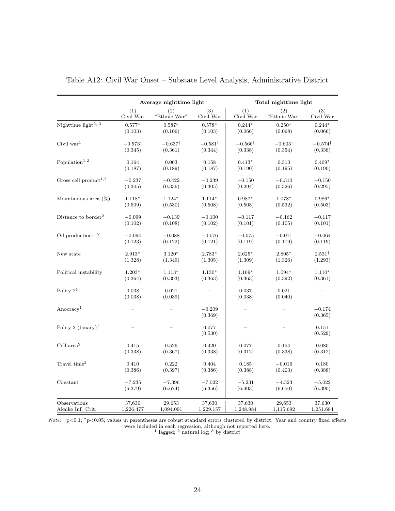|                                     |                    | Average nighttime light |                     | Total nighttime light |                    |                     |  |
|-------------------------------------|--------------------|-------------------------|---------------------|-----------------------|--------------------|---------------------|--|
|                                     | (1)                | (2)                     | (3)                 | (1)                   | (2)                | (3)                 |  |
|                                     | Civil War          | "Ethnic War"            | Civil War           | Civil War             | "Ethnic War"       | Civil War           |  |
| Night<br>time light <sup>2, 3</sup> | $0.577*$           | $0.587*$                | $0.578*$            | $0.244*$              | $0.250*$           | $0.244*$            |  |
|                                     | (0.103)            | (0.106)                 | (0.103)             | (0.066)               | (0.068)            | (0.066)             |  |
| Civil war $1$                       | $-0.573^{\dagger}$ | $-0.637^{\dagger}$      | $-0.581^{\dagger}$  | $-0.566^{\dagger}$    | $-0.603^{\dagger}$ | $-0.574^{\dagger}$  |  |
|                                     | (0.345)            | (0.361)                 | (0.344)             | (0.338)               | (0.354)            | (0.338)             |  |
| Population <sup>1,2</sup>           | 0.164              | 0.063                   | 0.158               | $0.413*$              | 0.313              | $0.409*$            |  |
|                                     | (0.187)            | (0.189)                 | (0.187)             | (0.190)               | (0.195)            | (0.190)             |  |
| Gross cell product <sup>1,2</sup>   | $-0.237$           | $-0.422$                | $-0.239$            | $-0.150$              | $-0.310$           | $-0.150$            |  |
|                                     | (0.305)            | (0.336)                 | (0.305)             | (0.294)               | (0.326)            | (0.295)             |  |
| Mountainous area $(\%)$             | $1.118*$           | $1.124*$                | $1.114*$            | $0.987*$              | 1.078*             | $0.986*$            |  |
|                                     | (0.509)            | (0.530)                 | (0.508)             | (0.503)               | (0.532)            | (0.503)             |  |
| Distance to border <sup>2</sup>     | $-0.099$           | $-0.139$                | $-0.100$            | $-0.117$              | $-0.162$           | $-0.117$            |  |
|                                     | (0.102)            | (0.108)                 | (0.102)             | (0.101)               | (0.105)            | (0.101)             |  |
| Oil production <sup>1, 2</sup>      | $-0.094$           | $-0.088$                | $-0.076$            | $-0.075$              | $-0.071$           | $-0.064$            |  |
|                                     | (0.123)            | (0.122)                 | (0.121)             | (0.119)               | (0.119)            | (0.119)             |  |
| New state                           | 2.913*             | $3.120*$                | 2.783*              | $2.625*$              | 2.805*             | $2.531^{\dagger}$   |  |
|                                     | (1.328)            | (1.349)                 | (1.305)             | (1.309)               | (1.326)            | (1.293)             |  |
| Political instability               | $1.203*$           | $1.113*$                | $1.130*$            | $1.169*$              | $1.094*$           | $1.110*$            |  |
|                                     | (0.364)            | (0.393)                 | (0.363)             | (0.363)               | (0.392)            | (0.361)             |  |
| Polity $2^1$                        | 0.038<br>(0.038)   | 0.021<br>(0.039)        |                     | 0.037<br>(0.038)      | 0.021<br>(0.040)   |                     |  |
| Anocracy <sup>1</sup>               |                    |                         | $-0.209$<br>(0.369) |                       |                    | $-0.174$<br>(0.365) |  |
| Polity 2 $(binary)^1$               |                    |                         | 0.077<br>(0.530)    |                       |                    | 0.151<br>(0.529)    |  |
| Cell $area2$                        | 0.415              | 0.526                   | 0.420               | 0.077                 | 0.154              | 0.080               |  |
|                                     | (0.338)            | (0.367)                 | (0.338)             | (0.312)               | (0.338)            | (0.312)             |  |
| Travel time <sup>2</sup>            | 0.410              | 0.222                   | 0.404               | 0.185                 | $-0.016$           | 0.180               |  |
|                                     | (0.386)            | (0.397)                 | (0.386)             | (0.388)               | (0.403)            | (0.388)             |  |
| Constant                            | $-7.235$           | $-7.396$                | $-7.022$            | $-5.231$              | $-4.523$           | $-5.022$            |  |
|                                     | (6.379)            | (6.674)                 | (6.356)             | (6.403)               | (6.650)            | (6.390)             |  |
| Observations                        | 37,630             | 29,653                  | 37,630              | 37,630                | 29,653             | 37,630              |  |
| Akaike Inf. Crit.                   | 1,226.477          | 1,094.091               | 1,229.157           | 1,248.984             | 1,115.692          | 1,251.684           |  |

Table A12: Civil War Onset – Substate Level Analysis, Administrative District

Note:  $\uparrow$ p<0.1;  $\uparrow$ p<0.05; values in parentheses are robust standard errors clustered by district. Year and country fixed effects were included in each regression, although not reported here.<br> $1 \text{ lagged};^2$  natural log; 3 by district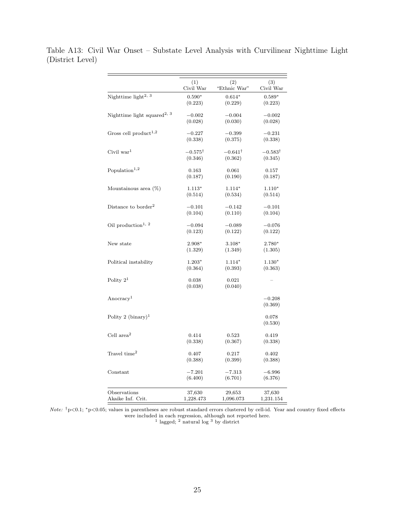|                                         | (1)<br>Civil War   | (2)<br>"Ethnic War" | (3)<br>Civil War   |
|-----------------------------------------|--------------------|---------------------|--------------------|
| Night<br>time light <sup>2, 3</sup>     | $0.590*$           | $0.614*$            | $0.589*$           |
|                                         | (0.223)            | (0.229)             | (0.223)            |
| Nighttime light squared <sup>2, 3</sup> | $-0.002$           | $-0.004$            | $-0.002$           |
|                                         | (0.028)            | (0.030)             | (0.028)            |
| Gross cell product <sup>1,2</sup>       | $-0.227$           | $-0.399$            | $-0.231$           |
|                                         | (0.338)            | (0.375)             | (0.338)            |
| Civil war $1$                           | $-0.575^{\dagger}$ | $-0.641^{\dagger}$  | $-0.583^{\dagger}$ |
|                                         | (0.346)            | (0.362)             | (0.345)            |
| Population <sup>1,2</sup>               | 0.163              | 0.061               | 0.157              |
|                                         | (0.187)            | (0.190)             | (0.187)            |
| Mountainous area $(\%)$                 | $1.113*$           | $1.114*$            | $1.110*$           |
|                                         | (0.514)            | (0.534)             | (0.514)            |
| Distance to border <sup>2</sup>         | $-0.101$           | $-0.142$            | $-0.101$           |
|                                         | (0.104)            | (0.110)             | (0.104)            |
| Oil production <sup>1, 2</sup>          | $-0.094$           | $-0.089$            | $-0.076$           |
|                                         | (0.123)            | (0.122)             | (0.122)            |
| New state                               | 2.908*             | 3.108*              | 2.780*             |
|                                         | (1.329)            | (1.349)             | (1.305)            |
| Political instability                   | $1.203*$           | $1.114*$            | $1.130*$           |
|                                         | (0.364)            | (0.393)             | (0.363)            |
| Polity $2^1$                            | 0.038              | 0.021               |                    |
|                                         | (0.038)            | (0.040)             |                    |
| Anocracy <sup>1</sup>                   |                    |                     | $-0.208$           |
|                                         |                    |                     | (0.369)            |
| Polity 2 $(binary)^1$                   |                    |                     | 0.078              |
|                                         |                    |                     | (0.530)            |
| Cell $area2$                            | 0.414              | 0.523               | 0.419              |
|                                         | (0.338)            | (0.367)             | (0.338)            |
| Travel time <sup>2</sup>                | 0.407              | 0.217               | 0.402              |
|                                         | (0.388)            | (0.399)             | (0.388)            |
| Constant                                | $-7.201$           | $-7.313$            | $-6.996$           |
|                                         | (6.400)            | (6.701)             | (6.376)            |
| Observations                            | 37,630             | 29,653              | 37,630             |
| Akaike Inf. Crit.                       | 1,228.473          | 1,096.073           | 1,231.154          |

Table A13: Civil War Onset – Substate Level Analysis with Curvilinear Nighttime Light (District Level)

Note: <sup>†</sup>p<0.1; \*p<0.05; values in parentheses are robust standard errors clustered by cell-id. Year and country fixed effects were included in each regression, although not reported here.<br><sup>1</sup> lagged; <sup>2</sup> natural log <sup>3</sup> by district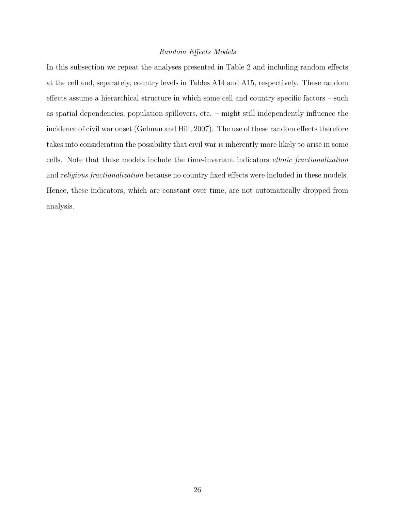#### Random Effects Models

In this subsection we repeat the analyses presented in Table 2 and including random effects at the cell and, separately, country levels in Tables A14 and A15, respectively. These random effects assume a hierarchical structure in which some cell and country specific factors – such as spatial dependencies, population spillovers, etc. – might still independently influence the incidence of civil war onset (Gelman and Hill, 2007). The use of these random effects therefore takes into consideration the possibility that civil war is inherently more likely to arise in some cells. Note that these models include the time-invariant indicators ethnic fractionalization and *religious fractionalization* because no country fixed effects were included in these models. Hence, these indicators, which are constant over time, are not automatically dropped from analysis.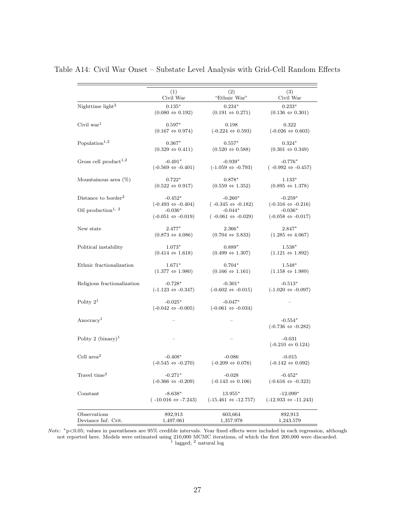|                                   | (1)                                            | (2)                                            | (3)                                            |
|-----------------------------------|------------------------------------------------|------------------------------------------------|------------------------------------------------|
|                                   | Civil War                                      | "Ethnic War"                                   | Civil War                                      |
| Nighttime light $2$               | $0.135*$                                       | $0.234*$                                       | $0.233*$                                       |
|                                   | $(0.080 \Leftrightarrow 0.192)$                | $(0.191 \Leftrightarrow 0.271)$                | $(0.136 \Leftrightarrow 0.301)$                |
| Civil $\text{war}^1$              | $0.597*$                                       | 0.198                                          | 0.322                                          |
|                                   | $(0.167 \Leftrightarrow 0.974)$                | $(-0.224 \Leftrightarrow 0.593)$               | $(-0.026 \Leftrightarrow 0.603)$               |
| Population <sup>1,2</sup>         | $0.367*$                                       | $0.557*$                                       | $0.324*$                                       |
|                                   | $(0.329 \Leftrightarrow 0.411)$                | $(0.520 \Leftrightarrow 0.588)$                | $(0.301 \Leftrightarrow 0.349)$                |
| Gross cell product <sup>1,2</sup> | $-0.491*$                                      | $-0.939*$                                      | $-0.776*$                                      |
|                                   | $(-0.569 \Leftrightarrow -0.401)$              | $(-1.059 \Leftrightarrow -0.793)$              | $(-0.992 \Leftrightarrow -0.457)$              |
| Mountainous area $(\%)$           | $0.722*$                                       | $0.878*$                                       | $1.133*$                                       |
|                                   | $(0.522 \Leftrightarrow 0.917)$                | $(0.559 \Leftrightarrow 1.352)$                | $(0.895 \Leftrightarrow 1.378)$                |
| Distance to border <sup>2</sup>   | $-0.452*$                                      | $-0.260*$                                      | $-0.259*$                                      |
|                                   | $(-0.493 \Leftrightarrow -0.404)$              | $(-0.345 \Leftrightarrow -0.182)$              | $(-0.316 \Leftrightarrow -0.216)$              |
| Oil production <sup>1, 2</sup>    | $-0.036*$                                      | $-0.044*$                                      | $-0.036*$                                      |
|                                   | $(-0.051 \Leftrightarrow -0.019)$              | $(-0.061 \Leftrightarrow -0.029)$              | $(-0.058 \Leftrightarrow -0.017)$              |
| New state                         | 2.477*                                         | 2.366*                                         | 2.847*                                         |
|                                   | $(0.873 \Leftrightarrow 4.086)$                | $(0.704 \Leftrightarrow 3.833)$                | $(1.285 \Leftrightarrow 4.067)$                |
| Political instability             | $1.073*$                                       | $0.889*$                                       | $1.538*$                                       |
|                                   | $(0.414 \Leftrightarrow 1.618)$                | $(0.499 \Leftrightarrow 1.307)$                | $(1.121 \Leftrightarrow 1.892)$                |
| Ethnic fractionalization          | $1.671*$                                       | $0.704*$                                       | $1.548*$                                       |
|                                   | $(1.377 \Leftrightarrow 1.980)$                | $(0.166 \Leftrightarrow 1.161)$                | $(1.158 \Leftrightarrow 1.989)$                |
| Religious fractionalization       | $-0.728*$                                      | $-0.301*$                                      | $-0.513*$                                      |
|                                   | $(-1.123 \Leftrightarrow -0.347)$              | $(-0.602 \Leftrightarrow -0.015)$              | $(-1.020 \Leftrightarrow -0.097)$              |
| Polity $2^1$                      | $-0.025*$<br>$(-0.042 \Leftrightarrow -0.005)$ | $-0.047*$<br>$(-0.061 \Leftrightarrow -0.034)$ |                                                |
| Anocracy <sup>1</sup>             |                                                |                                                | $-0.554*$<br>$(-0.736 \Leftrightarrow -0.282)$ |
| Polity 2 $(binary)^1$             |                                                |                                                | $-0.031$<br>$(-0.210 \Leftrightarrow 0.124)$   |
| Cell $area2$                      | $-0.408*$                                      | $-0.086$                                       | $-0.015$                                       |
|                                   | $(-0.545 \Leftrightarrow -0.270)$              | $(-0.209 \Leftrightarrow 0.076)$               | $(-0.142 \Leftrightarrow 0.092)$               |
| Travel time <sup>2</sup>          | $-0.271*$                                      | $-0.028$                                       | $-0.452*$                                      |
|                                   | $(-0.366 \Leftrightarrow -0.209)$              | $(-0.143 \Leftrightarrow 0.106)$               | $(-0.616 \Leftrightarrow -0.323)$              |
| Constant                          | $-8.638*$                                      | 13.955*                                        | $-12.099*$                                     |
|                                   | $(-10.016 \Leftrightarrow -7.243)$             | $(-15.461 \Leftrightarrow -12.757)$            | $(-12.933 \Leftrightarrow -11.243)$            |
| Observations                      | 892,913                                        | 603,664                                        | 892,913                                        |
| Deviance Inf. Crit.               | 1,497.061                                      | 1,357.978                                      | 1,243.579                                      |

Table A14: Civil War Onset – Substate Level Analysis with Grid-Cell Random Effects

Note: <sup>∗</sup>p<0.05; values in parentheses are 95% credible intervals. Year fixed effects were included in each regression, although not reported here. Models were estimated using 210,000 MCMC iterations, of which the first 200,000 were discarded.<br><sup>1</sup> lagged; <sup>2</sup> natural log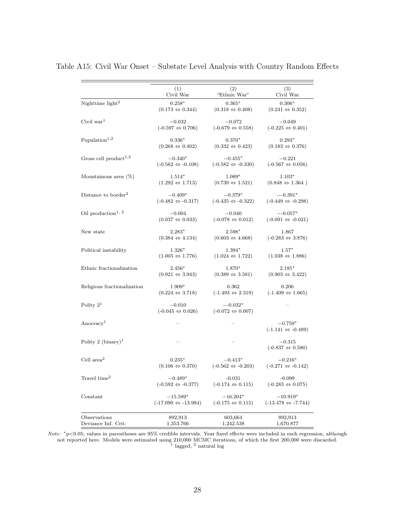|                                   | (1)                                          | (2)                                           | (3)                                            |
|-----------------------------------|----------------------------------------------|-----------------------------------------------|------------------------------------------------|
|                                   | Civil War                                    | "Ethnic War"                                  | Civil War                                      |
| Nighttime light <sup>2</sup>      | $0.258*$                                     | $0.365*$                                      | $0.306*$                                       |
|                                   | $(0.173 \Leftrightarrow 0.344)$              | $(0.318 \Leftrightarrow 0.408)$               | $(0.241 \Leftrightarrow 0.352)$                |
| Civil war <sup>1</sup>            | $-0.032$                                     | $-0.072$                                      | $-0.049$                                       |
|                                   | $(-0.597 \Leftrightarrow 0.706)$             | $(-0.679 \Leftrightarrow 0.558)$              | $(-0.225 \Leftrightarrow 0.401)$               |
| Population <sup>1,2</sup>         | $0.336*$                                     | $0.370*$                                      | $0.293*$                                       |
|                                   | $(0.268 \Leftrightarrow 0.402)$              | $(0.332 \Leftrightarrow 0.423)$               | $(0.183 \Leftrightarrow 0.376)$                |
| Gross cell product <sup>1,2</sup> | $-0.340*$                                    | $-0.455*$                                     | $-0.221$                                       |
|                                   | $(-0.562 \Leftrightarrow -0.108)$            | $(-0.582 \Leftrightarrow -0.330)$             | $(-0.567 \Leftrightarrow 0.056)$               |
| Mountainous area $(\%)$           | $1.514*$                                     | $1.089*$                                      | $1.103*$                                       |
|                                   | $(1.292 \Leftrightarrow 1.713)$              | $(0.739 \Leftrightarrow 1.521)$               | $(0.848 \Leftrightarrow 1.364)$                |
| Distance to border <sup>2</sup>   | $-0.409*$                                    | $-0.379*$                                     | $-0.391*$                                      |
|                                   | $(-0.482 \Leftrightarrow -0.317)$            | $(-0.435 \Leftrightarrow -0.322)$             | $(-0.449 \Leftrightarrow -0.298)$              |
| Oil production <sup>1, 2</sup>    | $-0.004$                                     | $-0.040$                                      | $-0.057*$                                      |
|                                   | $(0.037 \Leftrightarrow 0.033)$              | $(-0.078 \Leftrightarrow 0.012)$              | $(-0.091 \Leftrightarrow -0.021)$              |
| New state                         | $2.283*$                                     | $2.598*$                                      | 1.867                                          |
|                                   | $(0.384 \Leftrightarrow 4.134)$              | $(0.603 \Leftrightarrow 4.668)$               | $(-0.283 \Leftrightarrow 3.876)$               |
| Political instability             | $1.326*$                                     | 1.394*                                        | $1.57*$                                        |
|                                   | $(1.005 \Leftrightarrow 1.776)$              | $(1.024 \Leftrightarrow 1.722)$               | $(1.038 \Leftrightarrow 1.886)$                |
| Ethnic fractionalization          | $2.456*$                                     | 1.870*                                        | $2.185*$                                       |
|                                   | $(0.921 \Leftrightarrow 3.943)$              | $(0.389 \Leftrightarrow 3.581)$               | $(0.903 \Leftrightarrow 3.422)$                |
| Religious fractionalization       | 1.909*                                       | 0.362                                         | 0.206                                          |
|                                   | $(0.224 \Leftrightarrow 3.718)$              | $(-1.493 \Leftrightarrow 2.319)$              | $(-1.409 \Leftrightarrow 1.665)$               |
| Polity $2^1$                      | $-0.010$<br>$(-0.045 \Leftrightarrow 0.026)$ | $-0.032*$<br>$(-0.072 \Leftrightarrow 0.007)$ |                                                |
| Anocracy <sup>1</sup>             |                                              |                                               | $-0.759*$<br>$(-1.141 \Leftrightarrow -0.489)$ |
| Polity 2 $(binary)^1$             |                                              |                                               | $-0.315$<br>$(-0.837 \Leftrightarrow 0.580)$   |
| Cell $area2$                      | $0.235*$                                     | $-0.413*$                                     | $-0.216*$                                      |
|                                   | $(0.106 \Leftrightarrow 0.370)$              | $(-0.562 \Leftrightarrow -0.203)$             | $(-0.271 \Leftrightarrow -0.142)$              |
| Travel time <sup>2</sup>          | $-0.489*$                                    | $-0.031$                                      | $-0.099$                                       |
|                                   | $(-0.592 \Leftrightarrow -0.377)$            | $(-0.174 \Leftrightarrow 0.115)$              | $(-0.283 \Leftrightarrow 0.075)$               |
| Constant                          | $-15.589*$                                   | $-16.204*$                                    | $-10.919*$                                     |
|                                   | $(-17.090 \Leftrightarrow -13.984)$          | $(-0.175 \Leftrightarrow 0.115)$              | $(-13.478 \Leftrightarrow -7.744)$             |
| Observations                      | 892,913                                      | 603,664                                       | 892,913                                        |
| Deviance Inf. Crit.               | 1,353.766                                    | 1,242.538                                     | 1,670.877                                      |

Table A15: Civil War Onset – Substate Level Analysis with Country Random Effects

Note: <sup>∗</sup>p<0.05; values in parentheses are 95% credible intervals. Year fixed effects were included in each regression, although not reported here. Models were estimated using 210,000 MCMC iterations, of which the first 200,000 were discarded.<br><sup>1</sup> lagged; <sup>2</sup> natural log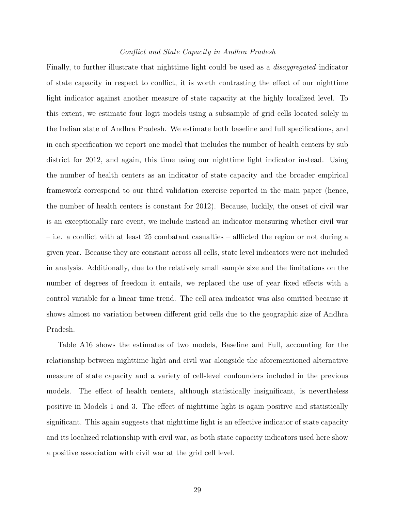#### Conflict and State Capacity in Andhra Pradesh

Finally, to further illustrate that nighttime light could be used as a *disaggregated* indicator of state capacity in respect to conflict, it is worth contrasting the effect of our nighttime light indicator against another measure of state capacity at the highly localized level. To this extent, we estimate four logit models using a subsample of grid cells located solely in the Indian state of Andhra Pradesh. We estimate both baseline and full specifications, and in each specification we report one model that includes the number of health centers by sub district for 2012, and again, this time using our nighttime light indicator instead. Using the number of health centers as an indicator of state capacity and the broader empirical framework correspond to our third validation exercise reported in the main paper (hence, the number of health centers is constant for 2012). Because, luckily, the onset of civil war is an exceptionally rare event, we include instead an indicator measuring whether civil war – i.e. a conflict with at least 25 combatant casualties – afflicted the region or not during a given year. Because they are constant across all cells, state level indicators were not included in analysis. Additionally, due to the relatively small sample size and the limitations on the number of degrees of freedom it entails, we replaced the use of year fixed effects with a control variable for a linear time trend. The cell area indicator was also omitted because it shows almost no variation between different grid cells due to the geographic size of Andhra Pradesh.

Table A16 shows the estimates of two models, Baseline and Full, accounting for the relationship between nighttime light and civil war alongside the aforementioned alternative measure of state capacity and a variety of cell-level confounders included in the previous models. The effect of health centers, although statistically insignificant, is nevertheless positive in Models 1 and 3. The effect of nighttime light is again positive and statistically significant. This again suggests that nighttime light is an effective indicator of state capacity and its localized relationship with civil war, as both state capacity indicators used here show a positive association with civil war at the grid cell level.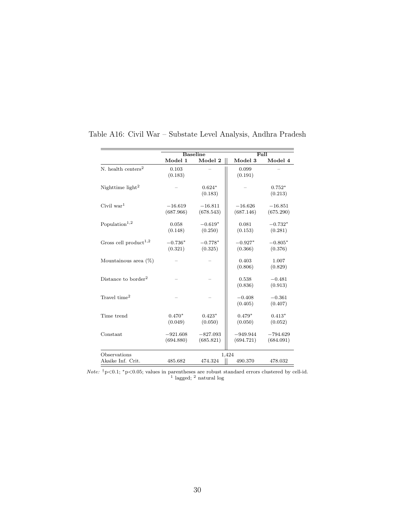|                                   |                         | <b>Baseline</b>         | Full                    |                         |  |  |
|-----------------------------------|-------------------------|-------------------------|-------------------------|-------------------------|--|--|
|                                   | Model 1                 | Model 2                 | Model 3                 | Model 4                 |  |  |
| N. health centers <sup>2</sup>    | 0.103<br>(0.183)        |                         | 0.099<br>(0.191)        |                         |  |  |
| Nighttime light <sup>2</sup>      |                         | $0.624*$<br>(0.183)     |                         | $0.752*$<br>(0.213)     |  |  |
| Civil war <sup>1</sup>            | $-16.619$<br>(687.966)  | $-16.811$<br>(678.543)  | $-16.626$<br>(687.146)  | $-16.851$<br>(675.290)  |  |  |
| Population <sup>1,2</sup>         | 0.058<br>(0.148)        | $-0.619*$<br>(0.250)    | 0.081<br>(0.153)        | $-0.732*$<br>(0.281)    |  |  |
| Gross cell product <sup>1,2</sup> | $-0.736*$<br>(0.321)    | $-0.778*$<br>(0.325)    | $-0.927*$<br>(0.366)    | $-0.805*$<br>(0.376)    |  |  |
| Mountainous area $(\%)$           |                         |                         | 0.403<br>(0.806)        | 1.007<br>(0.829)        |  |  |
| Distance to border <sup>2</sup>   |                         |                         | 0.538<br>(0.836)        | $-0.481$<br>(0.913)     |  |  |
| Travel time <sup>2</sup>          |                         |                         | $-0.408$<br>(0.405)     | $-0.361$<br>(0.407)     |  |  |
| Time trend                        | $0.470*$<br>(0.049)     | $0.423*$<br>(0.050)     | $0.479*$<br>(0.050)     | $0.413*$<br>(0.052)     |  |  |
| Constant                          | $-921.608$<br>(694.880) | $-827.093$<br>(685.821) | $-949.944$<br>(694.721) | $-794.629$<br>(684.091) |  |  |
| Observations<br>Akaike Inf. Crit. | 485.682                 | 474.324                 | 1,424<br>490.370        | 478.032                 |  |  |

Table A16: Civil War – Substate Level Analysis, Andhra Pradesh

Note: <sup>†</sup>p<0.1; \*p<0.05; values in parentheses are robust standard errors clustered by cell-id.<br>
<sup>1</sup> lagged; <sup>2</sup> natural log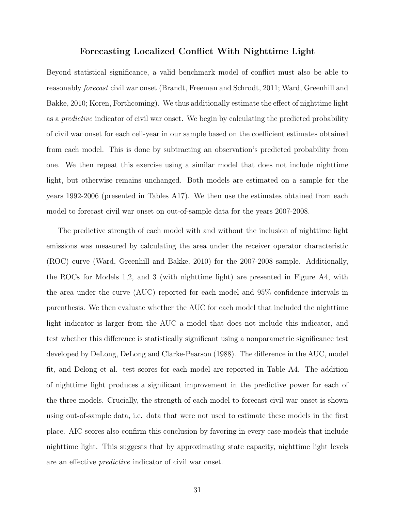#### Forecasting Localized Conflict With Nighttime Light

Beyond statistical significance, a valid benchmark model of conflict must also be able to reasonably forecast civil war onset (Brandt, Freeman and Schrodt, 2011; Ward, Greenhill and Bakke, 2010; Koren, Forthcoming). We thus additionally estimate the effect of nighttime light as a *predictive* indicator of civil war onset. We begin by calculating the predicted probability of civil war onset for each cell-year in our sample based on the coefficient estimates obtained from each model. This is done by subtracting an observation's predicted probability from one. We then repeat this exercise using a similar model that does not include nighttime light, but otherwise remains unchanged. Both models are estimated on a sample for the years 1992-2006 (presented in Tables A17). We then use the estimates obtained from each model to forecast civil war onset on out-of-sample data for the years 2007-2008.

The predictive strength of each model with and without the inclusion of nighttime light emissions was measured by calculating the area under the receiver operator characteristic (ROC) curve (Ward, Greenhill and Bakke, 2010) for the 2007-2008 sample. Additionally, the ROCs for Models 1,2, and 3 (with nighttime light) are presented in Figure A4, with the area under the curve (AUC) reported for each model and 95% confidence intervals in parenthesis. We then evaluate whether the AUC for each model that included the nighttime light indicator is larger from the AUC a model that does not include this indicator, and test whether this difference is statistically significant using a nonparametric significance test developed by DeLong, DeLong and Clarke-Pearson (1988). The difference in the AUC, model fit, and Delong et al. test scores for each model are reported in Table A4. The addition of nighttime light produces a significant improvement in the predictive power for each of the three models. Crucially, the strength of each model to forecast civil war onset is shown using out-of-sample data, i.e. data that were not used to estimate these models in the first place. AIC scores also confirm this conclusion by favoring in every case models that include nighttime light. This suggests that by approximating state capacity, nighttime light levels are an effective predictive indicator of civil war onset.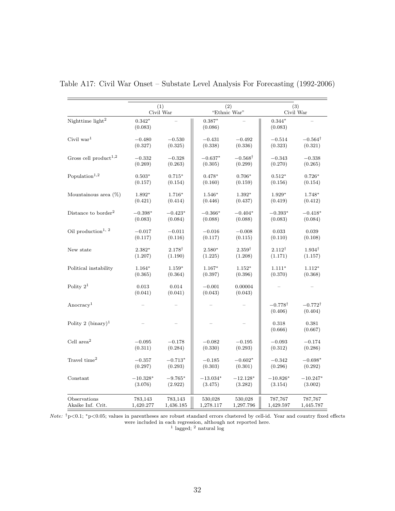|                                   |                     | (1)<br>Civil War  |                     | (2)<br>"Ethnic War" | (3)<br>Civil War                 |                               |  |
|-----------------------------------|---------------------|-------------------|---------------------|---------------------|----------------------------------|-------------------------------|--|
| Nighttime light <sup>2</sup>      | $0.342*$<br>(0.083) |                   | $0.387*$<br>(0.086) |                     | $0.344*$<br>(0.083)              |                               |  |
| Civil war $1$                     | $-0.480$            | $-0.530$          | $-0.431$            | $-0.492$            | $-0.514$                         | $-0.564^{\dagger}$            |  |
|                                   | (0.327)             | (0.325)           | (0.338)             | (0.336)             | (0.323)                          | (0.321)                       |  |
| Gross cell product <sup>1,2</sup> | $-0.332$            | $-0.328$          | $-0.637*$           | $-0.568^{\dagger}$  | $-0.343$                         | $-0.338$                      |  |
|                                   | (0.269)             | (0.263)           | (0.305)             | (0.299)             | (0.270)                          | (0.265)                       |  |
| Population <sup>1,2</sup>         | $0.503*$            | $0.715*$          | $0.478*$            | $0.706*$            | $0.512*$                         | $0.726*$                      |  |
|                                   | (0.157)             | (0.154)           | (0.160)             | (0.159)             | (0.156)                          | (0.154)                       |  |
| Mountainous area $(\%)$           | 1.892*              | 1.716*            | $1.546*$            | 1.392*              | 1.929*                           | 1.748*                        |  |
|                                   | (0.421)             | (0.414)           | (0.446)             | (0.437)             | (0.419)                          | (0.412)                       |  |
| Distance to border <sup>2</sup>   | $-0.398*$           | $-0.423*$         | $-0.366*$           | $-0.404*$           | $-0.393*$                        | $-0.418*$                     |  |
|                                   | (0.083)             | (0.084)           | (0.088)             | (0.088)             | (0.083)                          | (0.084)                       |  |
| Oil production <sup>1, 2</sup>    | $-0.017$            | $-0.011$          | $-0.016$            | $-0.008$            | 0.033                            | 0.039                         |  |
|                                   | (0.117)             | (0.116)           | (0.117)             | (0.115)             | (0.110)                          | (0.108)                       |  |
| New state                         | 2.382*              | $2.178^{\dagger}$ | 2.580*              | 2.359 <sup>†</sup>  | $2.112^{\dagger}$                | $1.934^{\dagger}$             |  |
|                                   | (1.207)             | (1.190)           | (1.225)             | (1.208)             | (1.171)                          | (1.157)                       |  |
| Political instability             | $1.164*$            | $1.159*$          | $1.167*$            | $1.152*$            | $1.111*$                         | $1.112*$                      |  |
|                                   | (0.365)             | (0.364)           | (0.397)             | (0.396)             | (0.370)                          | (0.368)                       |  |
| Polity $2^1$                      | 0.013<br>(0.041)    | 0.014<br>(0.041)  | $-0.001$<br>(0.043) | 0.00004<br>(0.043)  |                                  |                               |  |
| Anocracy <sup>1</sup>             |                     |                   |                     |                     | $-0.778$ <sup>†</sup><br>(0.406) | $-0.772^{\dagger}$<br>(0.404) |  |
| Polity 2 $(binary)^1$             |                     |                   |                     |                     | 0.318<br>(0.666)                 | 0.381<br>(0.667)              |  |
| Cell $area2$                      | $-0.095$            | $-0.178$          | $-0.082$            | $-0.195$            | $-0.093$                         | $-0.174$                      |  |
|                                   | (0.311)             | (0.284)           | (0.330)             | (0.293)             | (0.312)                          | (0.286)                       |  |
| Travel time <sup>2</sup>          | $-0.357$            | $-0.713*$         | $-0.185$            | $-0.602*$           | $-0.342$                         | $-0.698*$                     |  |
|                                   | (0.297)             | (0.293)           | (0.303)             | (0.301)             | (0.296)                          | (0.292)                       |  |
| Constant                          | $-10.328*$          | $-9.765*$         | $-13.034*$          | $-12.128*$          | $-10.826*$                       | $-10.247*$                    |  |
|                                   | (3.076)             | (2.922)           | (3.475)             | (3.282)             | (3.154)                          | (3.002)                       |  |
| Observations                      | 783,143             | 783,143           | 530,028             | 530,028             | 787,767                          | 787,767                       |  |
| Akaike Inf. Crit.                 | 1,420.277           | 1,436.185         | 1,278.117           | 1,297.796           | 1,429.597                        | 1,445.787                     |  |

Table A17: Civil War Onset – Substate Level Analysis For Forecasting (1992-2006)

Note:  $\uparrow$ p<0.1; \*p<0.05; values in parentheses are robust standard errors clustered by cell-id. Year and country fixed effects were included in each regression, although not reported here.<br><sup>1</sup> lagged; <sup>2</sup> natural log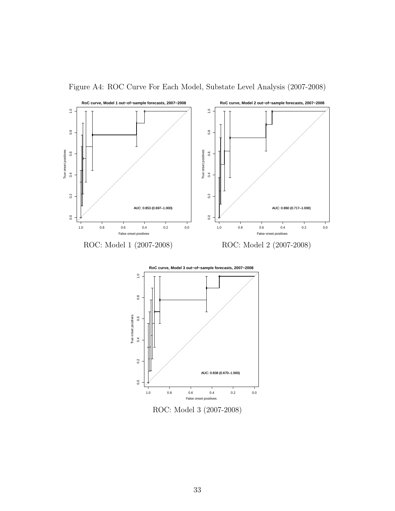

Figure A4: ROC Curve For Each Model, Substate Level Analysis (2007-2008)

ROC: Model 3 (2007-2008)

False onset positives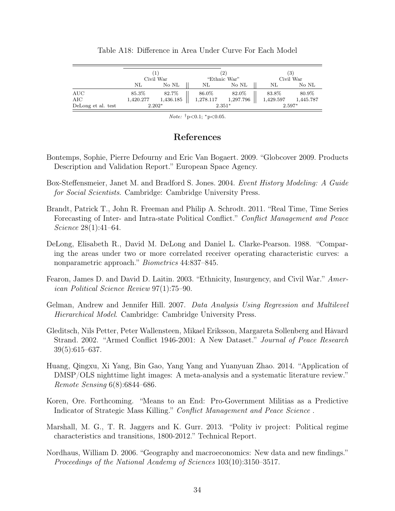|                    |           |           |           | $\left( 2\right)$ | (3)       |           |  |
|--------------------|-----------|-----------|-----------|-------------------|-----------|-----------|--|
|                    | Civil War |           |           | "Ethnic War"      |           | Civil War |  |
|                    | NL        | No NL     | NL        | No NL             | ΝL        | No NL     |  |
| <b>AUC</b>         | 85.3%     | 82.7%     | 86.0%     | 82.0%             | 83.8%     | 80.9%     |  |
| AIC                | 1,420.277 | 1,436.185 | 1,278.117 | 1,297.796         | 1,429.597 | 1,445.787 |  |
| DeLong et al. test | $2.202*$  |           |           | $2.351*$          |           | $2.597*$  |  |

| Table A18: Difference in Area Under Curve For Each Model |  |  |  |  |  |  |  |  |
|----------------------------------------------------------|--|--|--|--|--|--|--|--|
|----------------------------------------------------------|--|--|--|--|--|--|--|--|

Note:  $\frac{1}{1}p<0.1$ ;  $\frac{1}{1}p<0.05$ .

### References

- Bontemps, Sophie, Pierre Defourny and Eric Van Bogaert. 2009. "Globcover 2009. Products Description and Validation Report." European Space Agency.
- Box-Steffensmeier, Janet M. and Bradford S. Jones. 2004. Event History Modeling: A Guide for Social Scientists. Cambridge: Cambridge University Press.
- Brandt, Patrick T., John R. Freeman and Philip A. Schrodt. 2011. "Real Time, Time Series Forecasting of Inter- and Intra-state Political Conflict." Conflict Management and Peace Science 28(1):41–64.
- DeLong, Elisabeth R., David M. DeLong and Daniel L. Clarke-Pearson. 1988. "Comparing the areas under two or more correlated receiver operating characteristic curves: a nonparametric approach." Biometrics 44:837–845.
- Fearon, James D. and David D. Laitin. 2003. "Ethnicity, Insurgency, and Civil War." American Political Science Review 97(1):75–90.
- Gelman, Andrew and Jennifer Hill. 2007. Data Analysis Using Regression and Multilevel Hierarchical Model. Cambridge: Cambridge University Press.
- Gleditsch, Nils Petter, Peter Wallensteen, Mikael Eriksson, Margareta Sollenberg and Håvard Strand. 2002. "Armed Conflict 1946-2001: A New Dataset." Journal of Peace Research 39(5):615–637.
- Huang, Qingxu, Xi Yang, Bin Gao, Yang Yang and Yuanyuan Zhao. 2014. "Application of DMSP/OLS nighttime light images: A meta-analysis and a systematic literature review." Remote Sensing 6(8):6844–686.
- Koren, Ore. Forthcoming. "Means to an End: Pro-Government Militias as a Predictive Indicator of Strategic Mass Killing." Conflict Management and Peace Science .
- Marshall, M. G., T. R. Jaggers and K. Gurr. 2013. "Polity iv project: Political regime characteristics and transitions, 1800-2012." Technical Report.
- Nordhaus, William D. 2006. "Geography and macroeconomics: New data and new findings." Proceedings of the National Academy of Sciences 103(10):3150–3517.